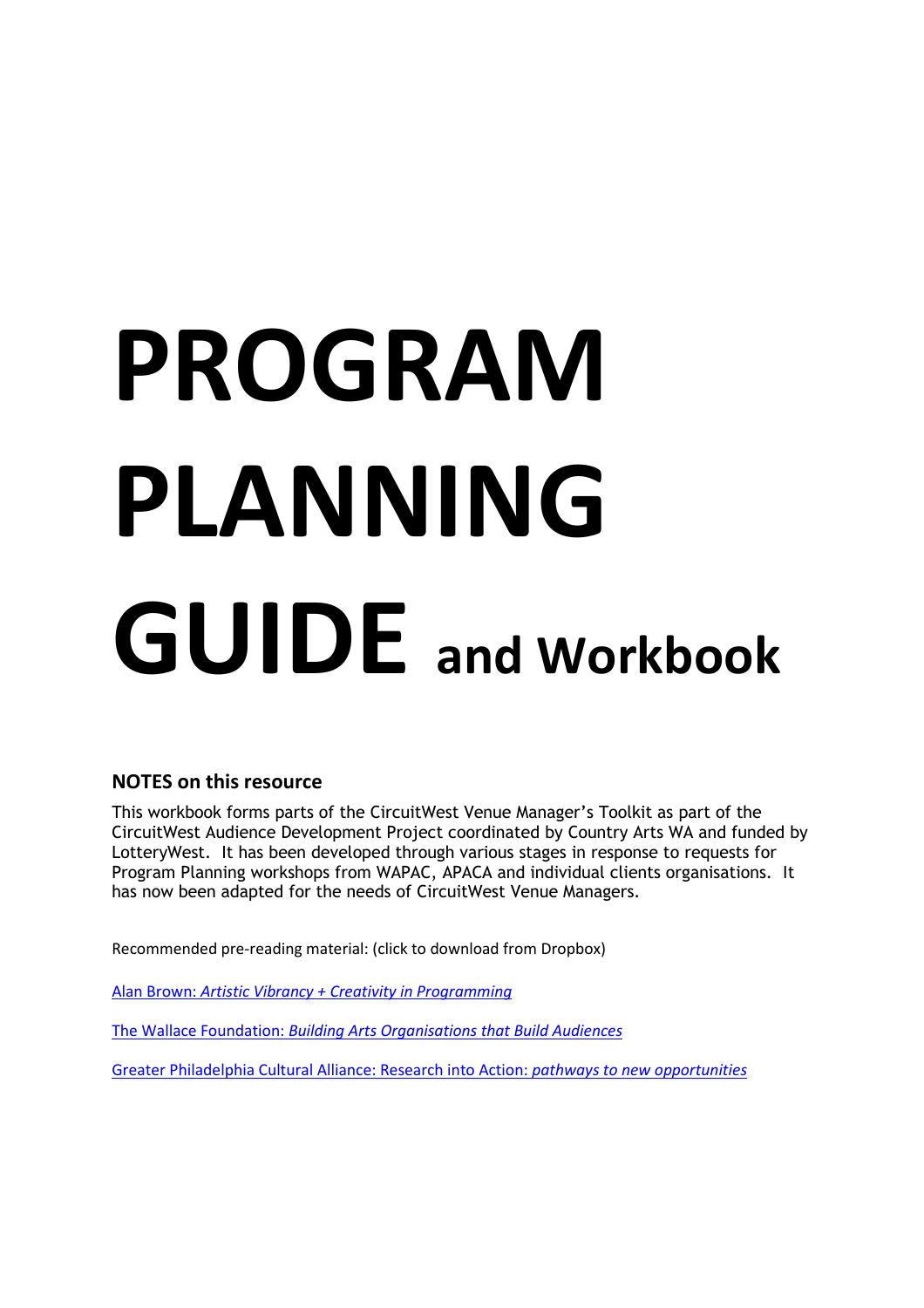# PROGRAM PLANNING GUIDE and Workbook

# NOTES on this resource

This workbook forms parts of the CircuitWest Venue Manager's Toolkit as part of the CircuitWest Audience Development Project coordinated by Country Arts WA and funded by LotteryWest. It has been developed through various stages in response to requests for Program Planning workshops from WAPAC, APACA and individual clients organisations. It has now been adapted for the needs of CircuitWest Venue Managers.

Recommended pre-reading material: (click to download from Dropbox)

Alan Brown: Artistic Vibrancy + Creativity in Programming

The Wallace Foundation: Building Arts Organisations that Build Audiences

Greater Philadelphia Cultural Alliance: Research into Action: pathways to new opportunities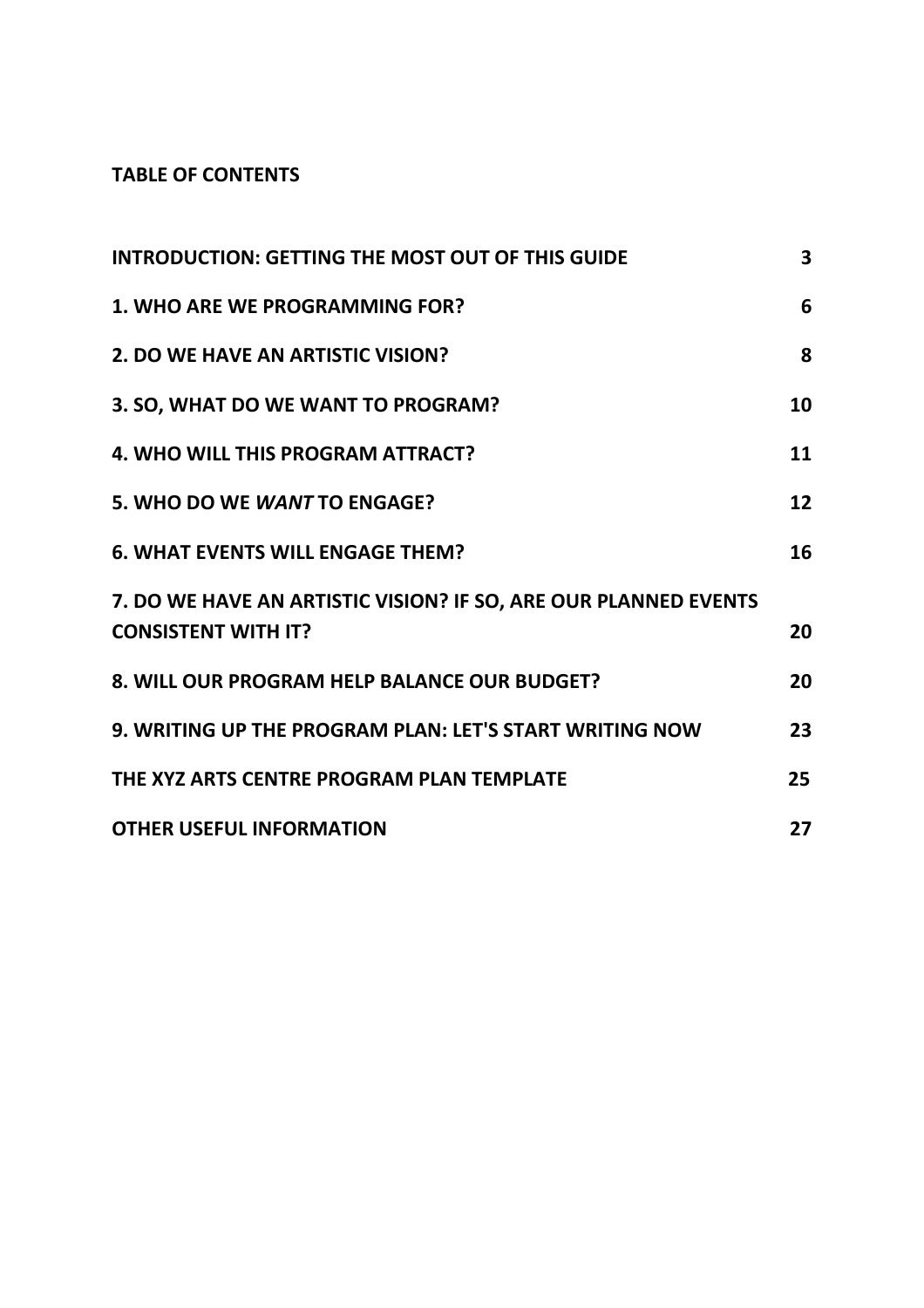# TABLE OF CONTENTS

| <b>INTRODUCTION: GETTING THE MOST OUT OF THIS GUIDE</b>                                       | 3  |
|-----------------------------------------------------------------------------------------------|----|
| 1. WHO ARE WE PROGRAMMING FOR?                                                                | 6  |
| 2. DO WE HAVE AN ARTISTIC VISION?                                                             | 8  |
| 3. SO, WHAT DO WE WANT TO PROGRAM?                                                            | 10 |
| 4. WHO WILL THIS PROGRAM ATTRACT?                                                             | 11 |
| 5. WHO DO WE WANT TO ENGAGE?                                                                  | 12 |
| <b>6. WHAT EVENTS WILL ENGAGE THEM?</b>                                                       | 16 |
| 7. DO WE HAVE AN ARTISTIC VISION? IF SO, ARE OUR PLANNED EVENTS<br><b>CONSISTENT WITH IT?</b> | 20 |
| 8. WILL OUR PROGRAM HELP BALANCE OUR BUDGET?                                                  | 20 |
| 9. WRITING UP THE PROGRAM PLAN: LET'S START WRITING NOW                                       | 23 |
| THE XYZ ARTS CENTRE PROGRAM PLAN TEMPLATE                                                     | 25 |
| <b>OTHER USEFUL INFORMATION</b>                                                               | 27 |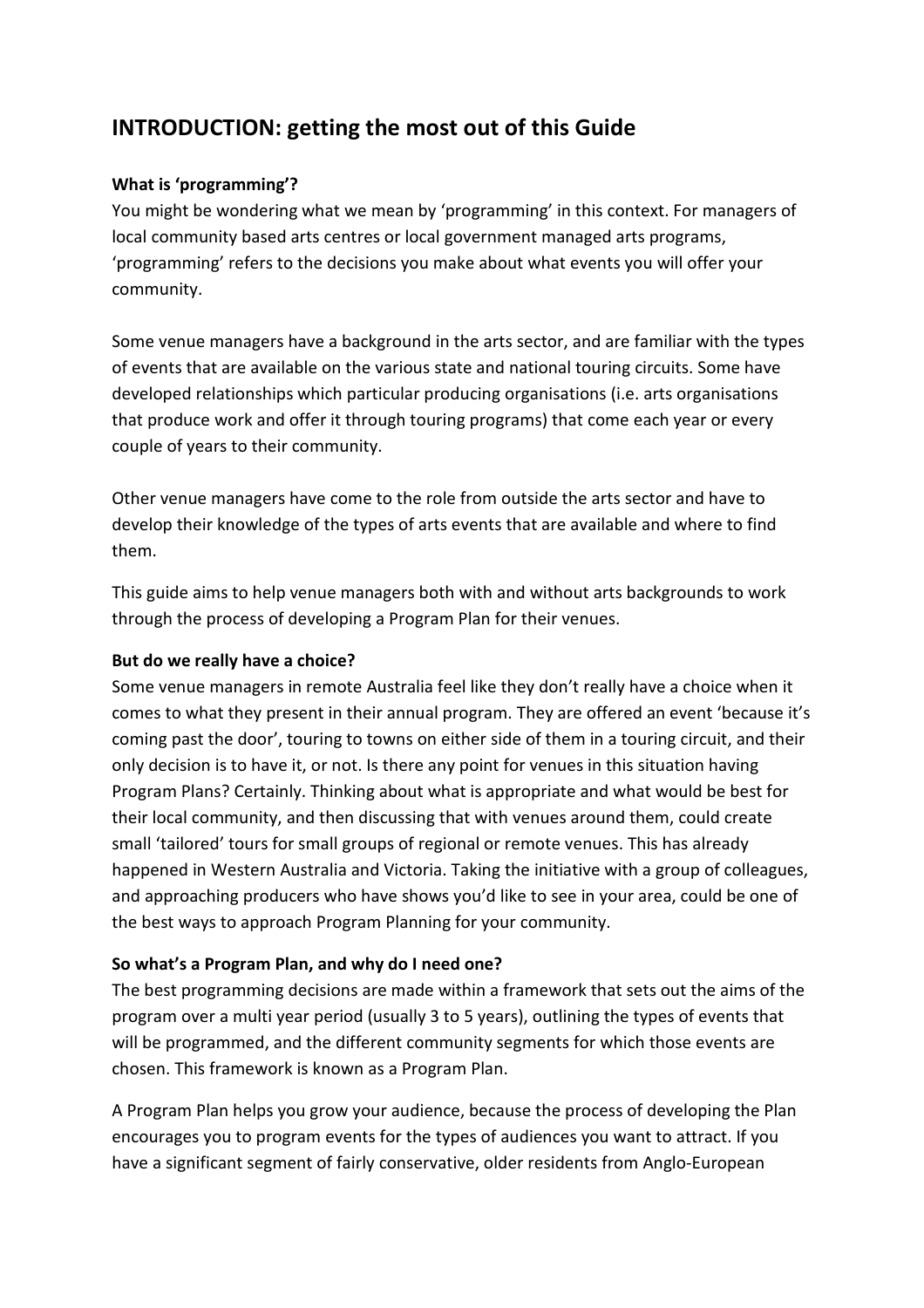# INTRODUCTION: getting the most out of this Guide

## What is 'programming'?

You might be wondering what we mean by 'programming' in this context. For managers of local community based arts centres or local government managed arts programs, 'programming' refers to the decisions you make about what events you will offer your community.

Some venue managers have a background in the arts sector, and are familiar with the types of events that are available on the various state and national touring circuits. Some have developed relationships which particular producing organisations (i.e. arts organisations that produce work and offer it through touring programs) that come each year or every couple of years to their community.

Other venue managers have come to the role from outside the arts sector and have to develop their knowledge of the types of arts events that are available and where to find them.

This guide aims to help venue managers both with and without arts backgrounds to work through the process of developing a Program Plan for their venues.

#### But do we really have a choice?

Some venue managers in remote Australia feel like they don't really have a choice when it comes to what they present in their annual program. They are offered an event 'because it's coming past the door', touring to towns on either side of them in a touring circuit, and their only decision is to have it, or not. Is there any point for venues in this situation having Program Plans? Certainly. Thinking about what is appropriate and what would be best for their local community, and then discussing that with venues around them, could create small 'tailored' tours for small groups of regional or remote venues. This has already happened in Western Australia and Victoria. Taking the initiative with a group of colleagues, and approaching producers who have shows you'd like to see in your area, could be one of the best ways to approach Program Planning for your community.

#### So what's a Program Plan, and why do I need one?

The best programming decisions are made within a framework that sets out the aims of the program over a multi year period (usually 3 to 5 years), outlining the types of events that will be programmed, and the different community segments for which those events are chosen. This framework is known as a Program Plan.

A Program Plan helps you grow your audience, because the process of developing the Plan encourages you to program events for the types of audiences you want to attract. If you have a significant segment of fairly conservative, older residents from Anglo-European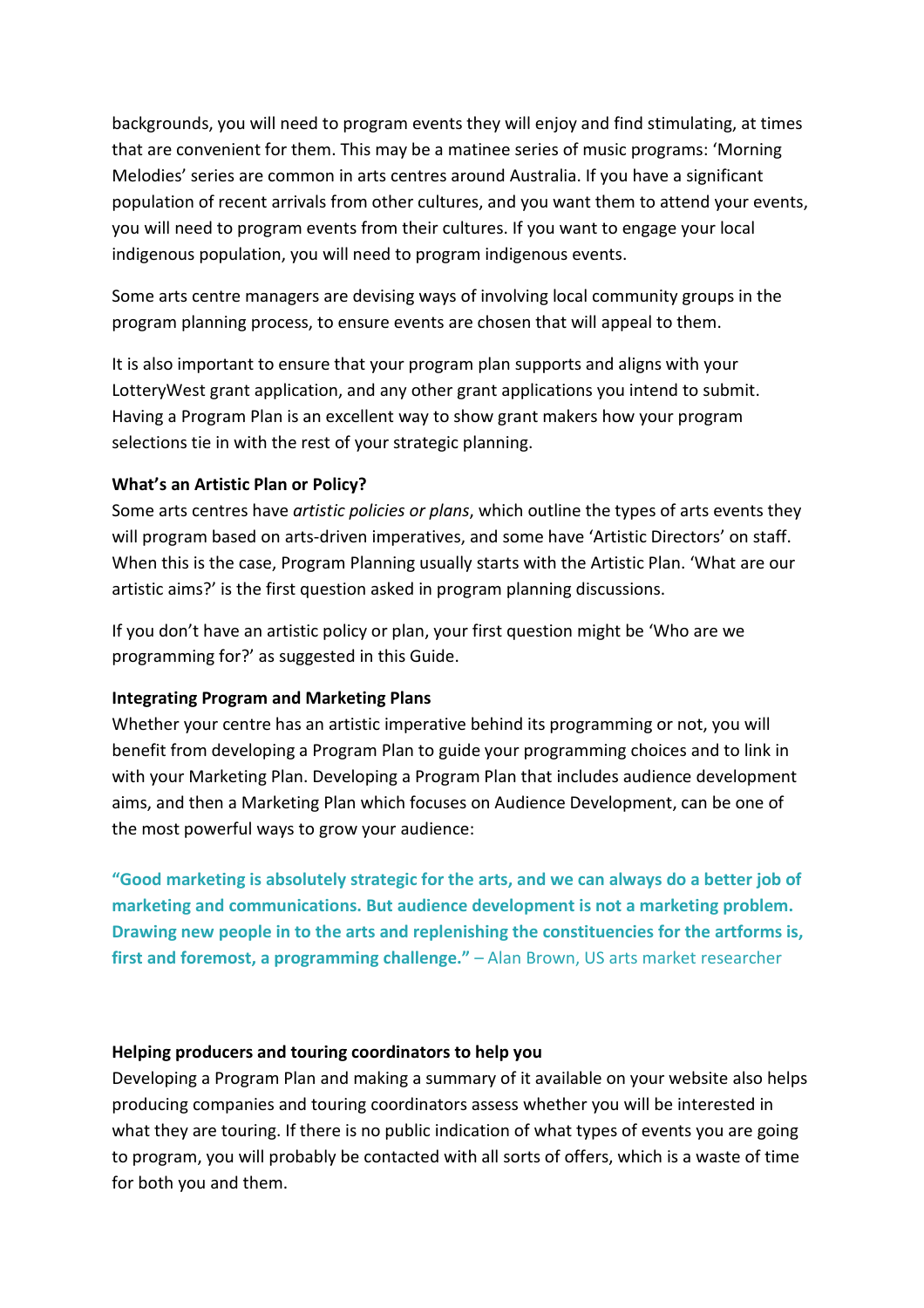backgrounds, you will need to program events they will enjoy and find stimulating, at times that are convenient for them. This may be a matinee series of music programs: 'Morning Melodies' series are common in arts centres around Australia. If you have a significant population of recent arrivals from other cultures, and you want them to attend your events, you will need to program events from their cultures. If you want to engage your local indigenous population, you will need to program indigenous events.

Some arts centre managers are devising ways of involving local community groups in the program planning process, to ensure events are chosen that will appeal to them.

It is also important to ensure that your program plan supports and aligns with your LotteryWest grant application, and any other grant applications you intend to submit. Having a Program Plan is an excellent way to show grant makers how your program selections tie in with the rest of your strategic planning.

#### What's an Artistic Plan or Policy?

Some arts centres have *artistic policies or plans*, which outline the types of arts events they will program based on arts-driven imperatives, and some have 'Artistic Directors' on staff. When this is the case, Program Planning usually starts with the Artistic Plan. 'What are our artistic aims?' is the first question asked in program planning discussions.

If you don't have an artistic policy or plan, your first question might be 'Who are we programming for?' as suggested in this Guide.

#### Integrating Program and Marketing Plans

Whether your centre has an artistic imperative behind its programming or not, you will benefit from developing a Program Plan to guide your programming choices and to link in with your Marketing Plan. Developing a Program Plan that includes audience development aims, and then a Marketing Plan which focuses on Audience Development, can be one of the most powerful ways to grow your audience:

"Good marketing is absolutely strategic for the arts, and we can always do a better job of marketing and communications. But audience development is not a marketing problem. Drawing new people in to the arts and replenishing the constituencies for the artforms is, first and foremost, a programming challenge." – Alan Brown, US arts market researcher

#### Helping producers and touring coordinators to help you

Developing a Program Plan and making a summary of it available on your website also helps producing companies and touring coordinators assess whether you will be interested in what they are touring. If there is no public indication of what types of events you are going to program, you will probably be contacted with all sorts of offers, which is a waste of time for both you and them.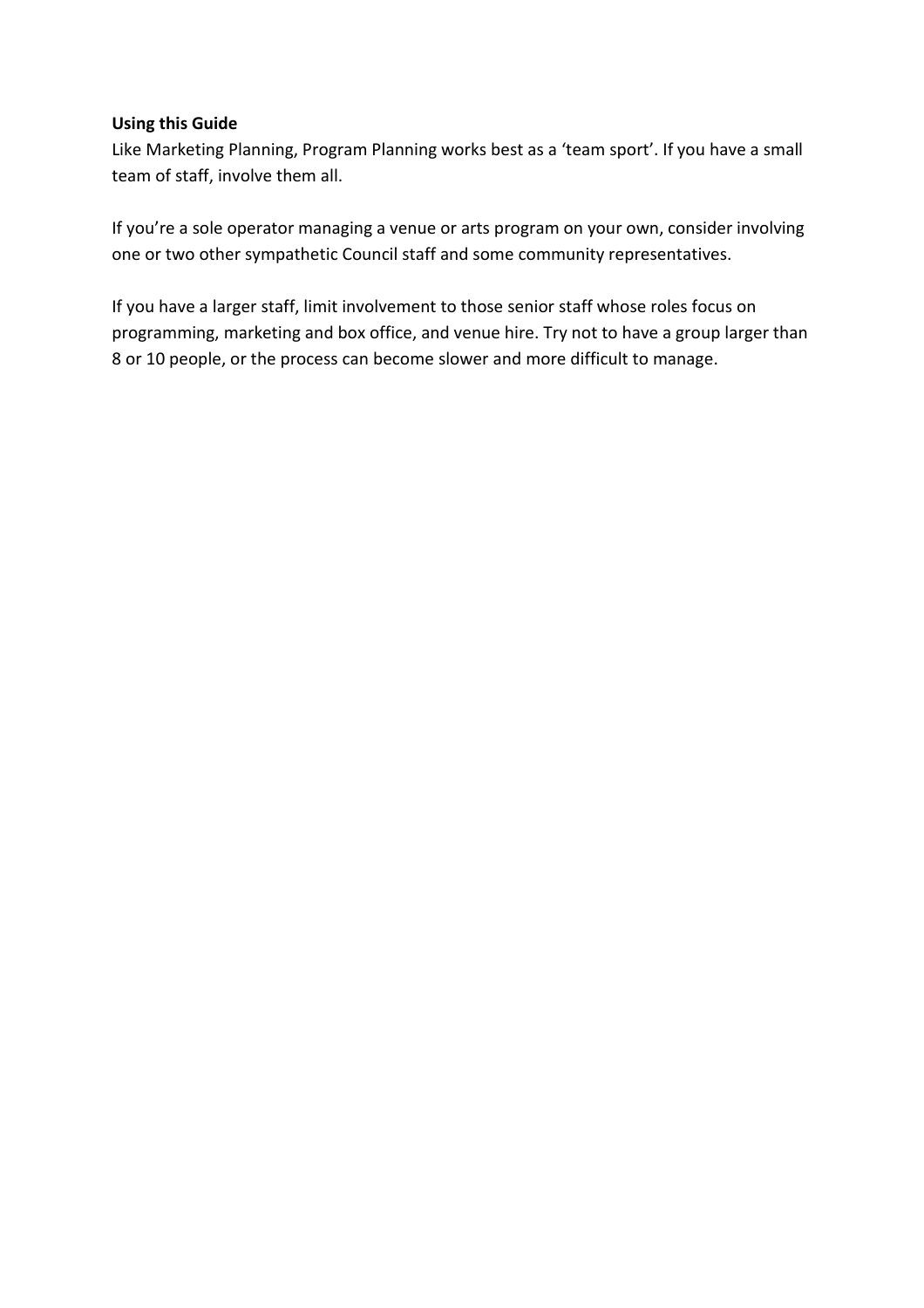#### Using this Guide

Like Marketing Planning, Program Planning works best as a 'team sport'. If you have a small team of staff, involve them all.

If you're a sole operator managing a venue or arts program on your own, consider involving one or two other sympathetic Council staff and some community representatives.

If you have a larger staff, limit involvement to those senior staff whose roles focus on programming, marketing and box office, and venue hire. Try not to have a group larger than 8 or 10 people, or the process can become slower and more difficult to manage.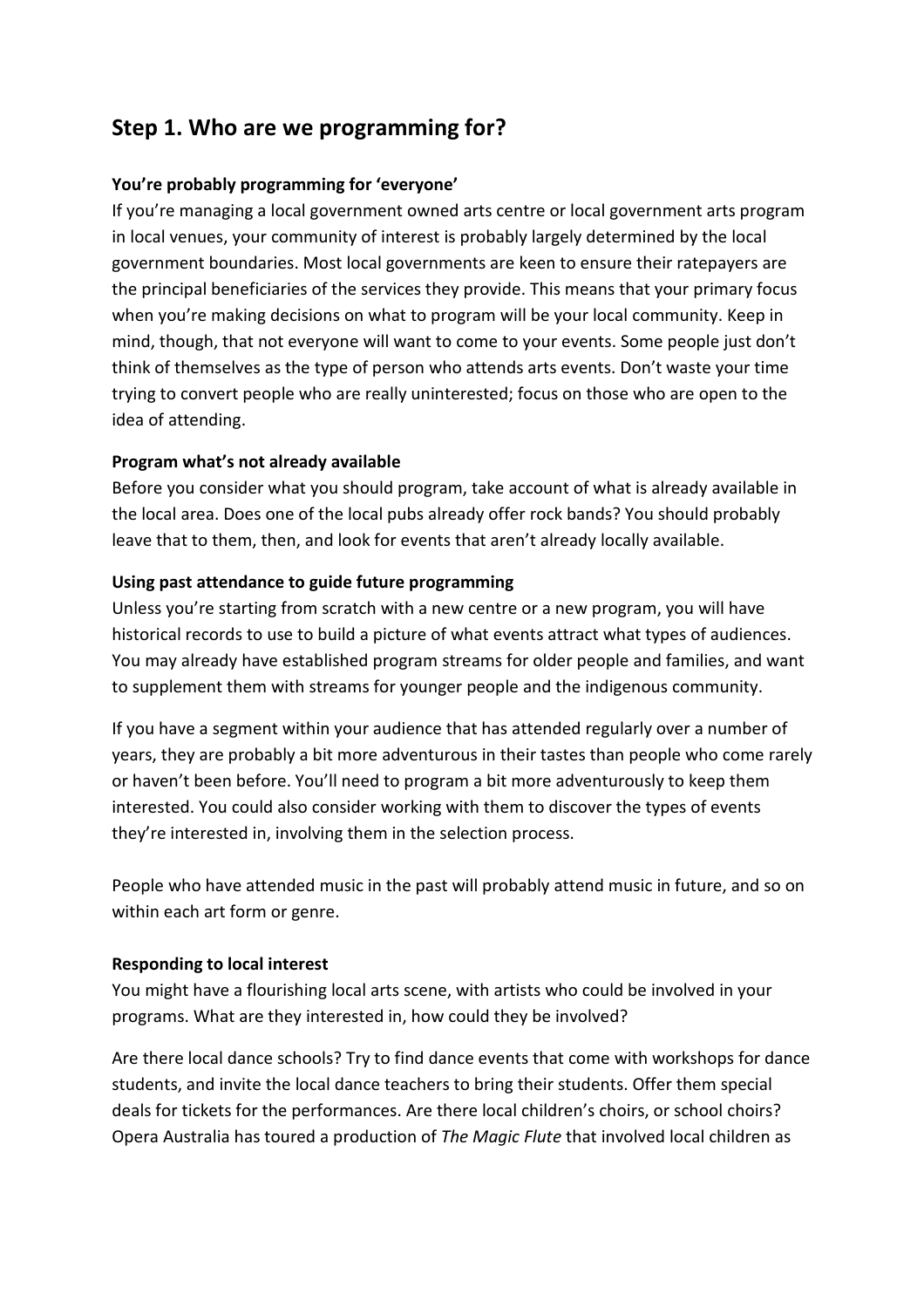# Step 1. Who are we programming for?

#### You're probably programming for 'everyone'

If you're managing a local government owned arts centre or local government arts program in local venues, your community of interest is probably largely determined by the local government boundaries. Most local governments are keen to ensure their ratepayers are the principal beneficiaries of the services they provide. This means that your primary focus when you're making decisions on what to program will be your local community. Keep in mind, though, that not everyone will want to come to your events. Some people just don't think of themselves as the type of person who attends arts events. Don't waste your time trying to convert people who are really uninterested; focus on those who are open to the idea of attending.

#### Program what's not already available

Before you consider what you should program, take account of what is already available in the local area. Does one of the local pubs already offer rock bands? You should probably leave that to them, then, and look for events that aren't already locally available.

#### Using past attendance to guide future programming

Unless you're starting from scratch with a new centre or a new program, you will have historical records to use to build a picture of what events attract what types of audiences. You may already have established program streams for older people and families, and want to supplement them with streams for younger people and the indigenous community.

If you have a segment within your audience that has attended regularly over a number of years, they are probably a bit more adventurous in their tastes than people who come rarely or haven't been before. You'll need to program a bit more adventurously to keep them interested. You could also consider working with them to discover the types of events they're interested in, involving them in the selection process.

People who have attended music in the past will probably attend music in future, and so on within each art form or genre.

#### Responding to local interest

You might have a flourishing local arts scene, with artists who could be involved in your programs. What are they interested in, how could they be involved?

Are there local dance schools? Try to find dance events that come with workshops for dance students, and invite the local dance teachers to bring their students. Offer them special deals for tickets for the performances. Are there local children's choirs, or school choirs? Opera Australia has toured a production of The Magic Flute that involved local children as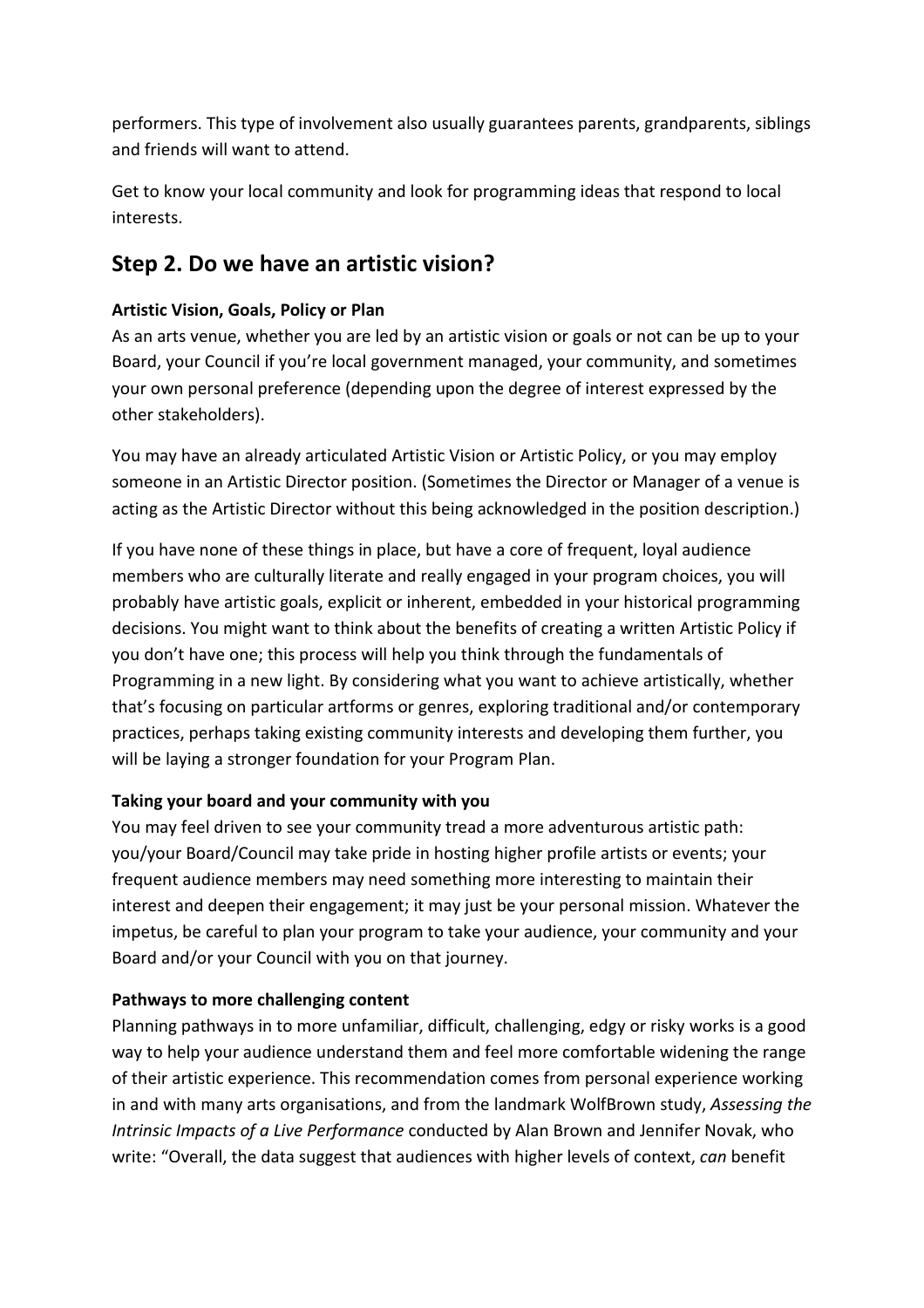performers. This type of involvement also usually guarantees parents, grandparents, siblings and friends will want to attend.

Get to know your local community and look for programming ideas that respond to local interests.

# Step 2. Do we have an artistic vision?

## Artistic Vision, Goals, Policy or Plan

As an arts venue, whether you are led by an artistic vision or goals or not can be up to your Board, your Council if you're local government managed, your community, and sometimes your own personal preference (depending upon the degree of interest expressed by the other stakeholders).

You may have an already articulated Artistic Vision or Artistic Policy, or you may employ someone in an Artistic Director position. (Sometimes the Director or Manager of a venue is acting as the Artistic Director without this being acknowledged in the position description.)

If you have none of these things in place, but have a core of frequent, loyal audience members who are culturally literate and really engaged in your program choices, you will probably have artistic goals, explicit or inherent, embedded in your historical programming decisions. You might want to think about the benefits of creating a written Artistic Policy if you don't have one; this process will help you think through the fundamentals of Programming in a new light. By considering what you want to achieve artistically, whether that's focusing on particular artforms or genres, exploring traditional and/or contemporary practices, perhaps taking existing community interests and developing them further, you will be laying a stronger foundation for your Program Plan.

## Taking your board and your community with you

You may feel driven to see your community tread a more adventurous artistic path: you/your Board/Council may take pride in hosting higher profile artists or events; your frequent audience members may need something more interesting to maintain their interest and deepen their engagement; it may just be your personal mission. Whatever the impetus, be careful to plan your program to take your audience, your community and your Board and/or your Council with you on that journey.

## Pathways to more challenging content

Planning pathways in to more unfamiliar, difficult, challenging, edgy or risky works is a good way to help your audience understand them and feel more comfortable widening the range of their artistic experience. This recommendation comes from personal experience working in and with many arts organisations, and from the landmark WolfBrown study, Assessing the Intrinsic Impacts of a Live Performance conducted by Alan Brown and Jennifer Novak, who write: "Overall, the data suggest that audiences with higher levels of context, can benefit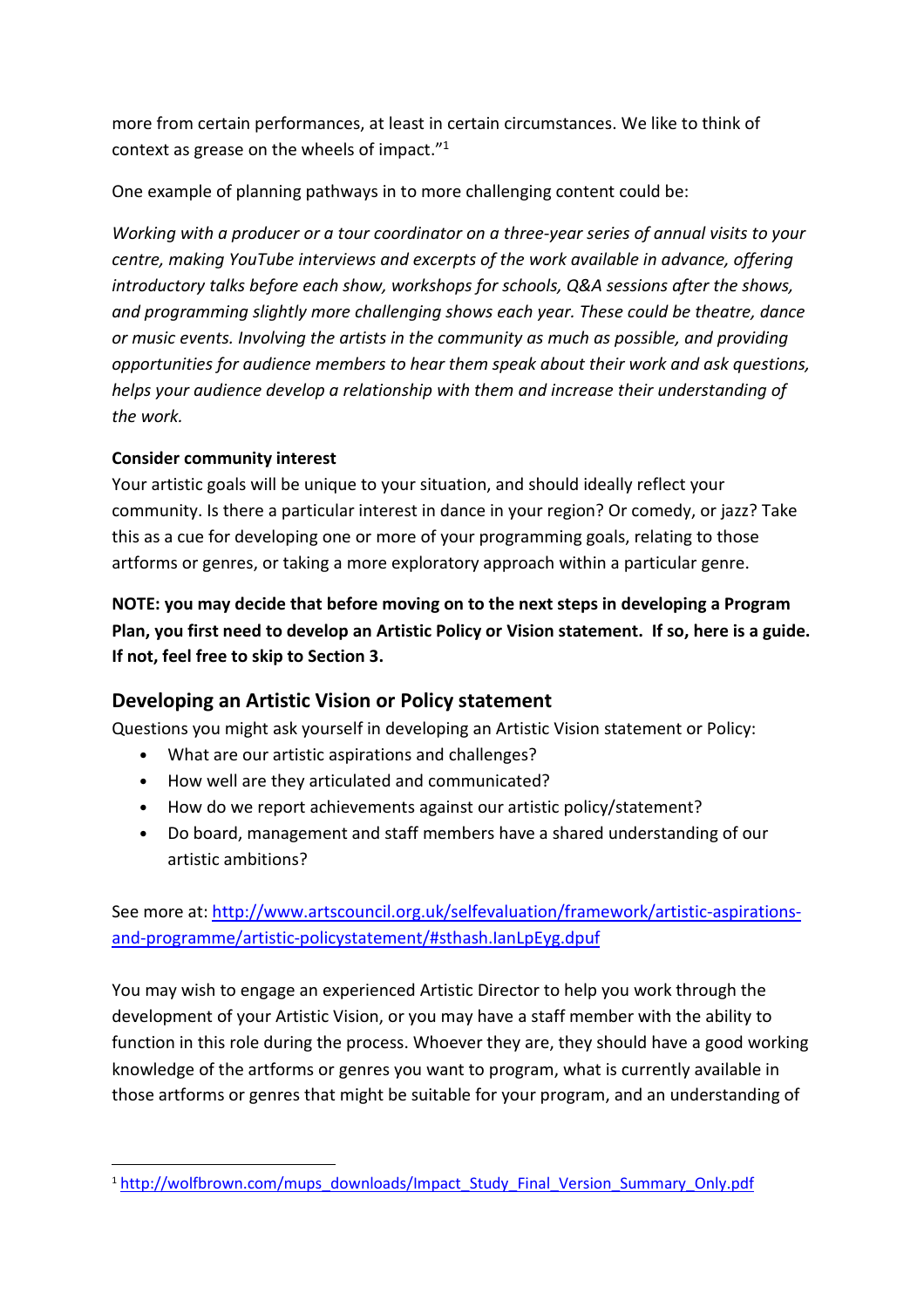more from certain performances, at least in certain circumstances. We like to think of context as grease on the wheels of impact."<sup>1</sup>

One example of planning pathways in to more challenging content could be:

Working with a producer or a tour coordinator on a three-year series of annual visits to your centre, making YouTube interviews and excerpts of the work available in advance, offering introductory talks before each show, workshops for schools, Q&A sessions after the shows, and programming slightly more challenging shows each year. These could be theatre, dance or music events. Involving the artists in the community as much as possible, and providing opportunities for audience members to hear them speak about their work and ask questions, helps your audience develop a relationship with them and increase their understanding of the work.

## Consider community interest

l

Your artistic goals will be unique to your situation, and should ideally reflect your community. Is there a particular interest in dance in your region? Or comedy, or jazz? Take this as a cue for developing one or more of your programming goals, relating to those artforms or genres, or taking a more exploratory approach within a particular genre.

NOTE: you may decide that before moving on to the next steps in developing a Program Plan, you first need to develop an Artistic Policy or Vision statement. If so, here is a guide. If not, feel free to skip to Section 3.

# Developing an Artistic Vision or Policy statement

Questions you might ask yourself in developing an Artistic Vision statement or Policy:

- What are our artistic aspirations and challenges?
- How well are they articulated and communicated?
- How do we report achievements against our artistic policy/statement?
- Do board, management and staff members have a shared understanding of our artistic ambitions?

See more at: http://www.artscouncil.org.uk/selfevaluation/framework/artistic-aspirationsand-programme/artistic-policystatement/#sthash.IanLpEyg.dpuf

You may wish to engage an experienced Artistic Director to help you work through the development of your Artistic Vision, or you may have a staff member with the ability to function in this role during the process. Whoever they are, they should have a good working knowledge of the artforms or genres you want to program, what is currently available in those artforms or genres that might be suitable for your program, and an understanding of

<sup>&</sup>lt;sup>1</sup> http://wolfbrown.com/mups\_downloads/Impact\_Study\_Final\_Version\_Summary\_Only.pdf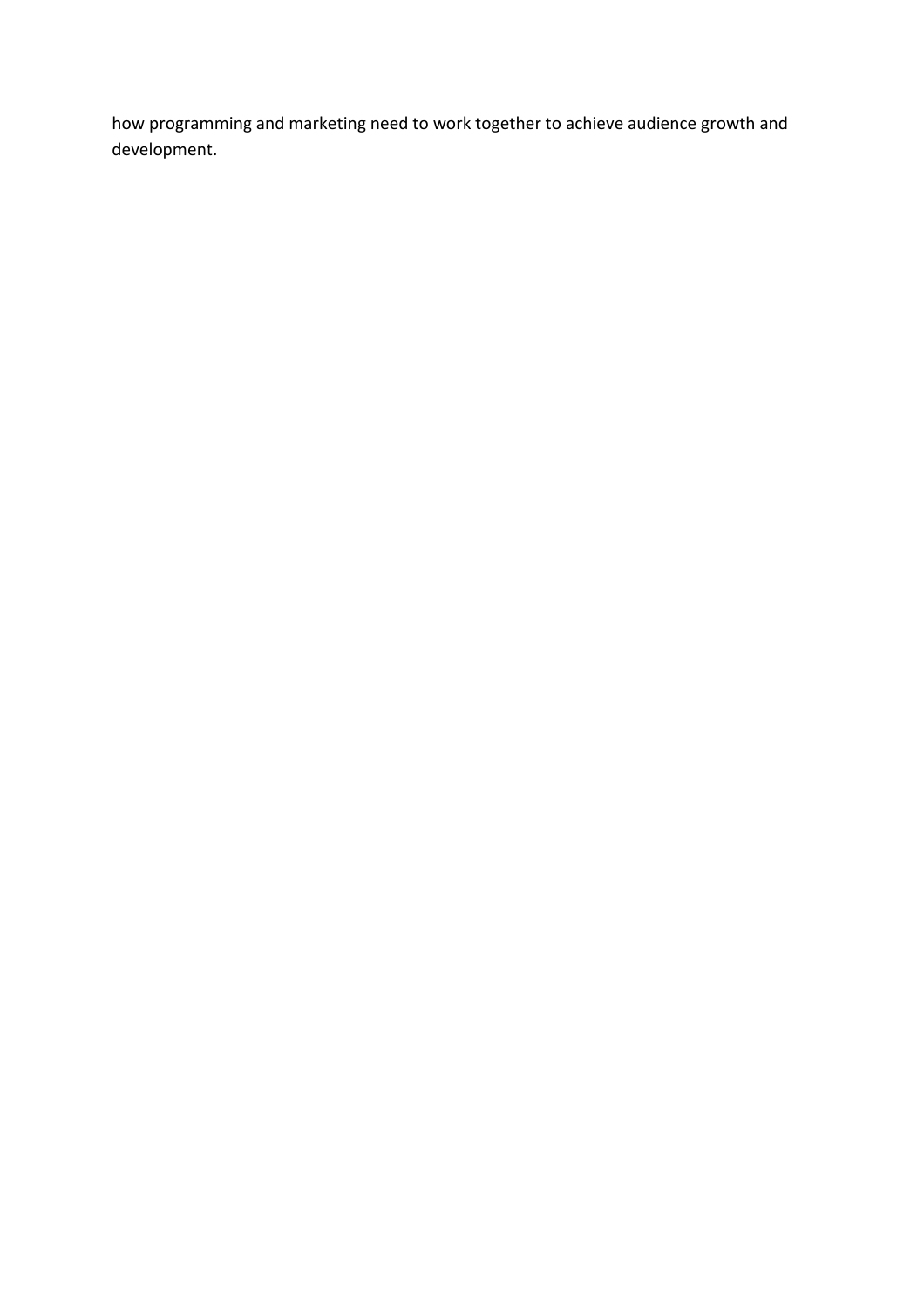how programming and marketing need to work together to achieve audience growth and development.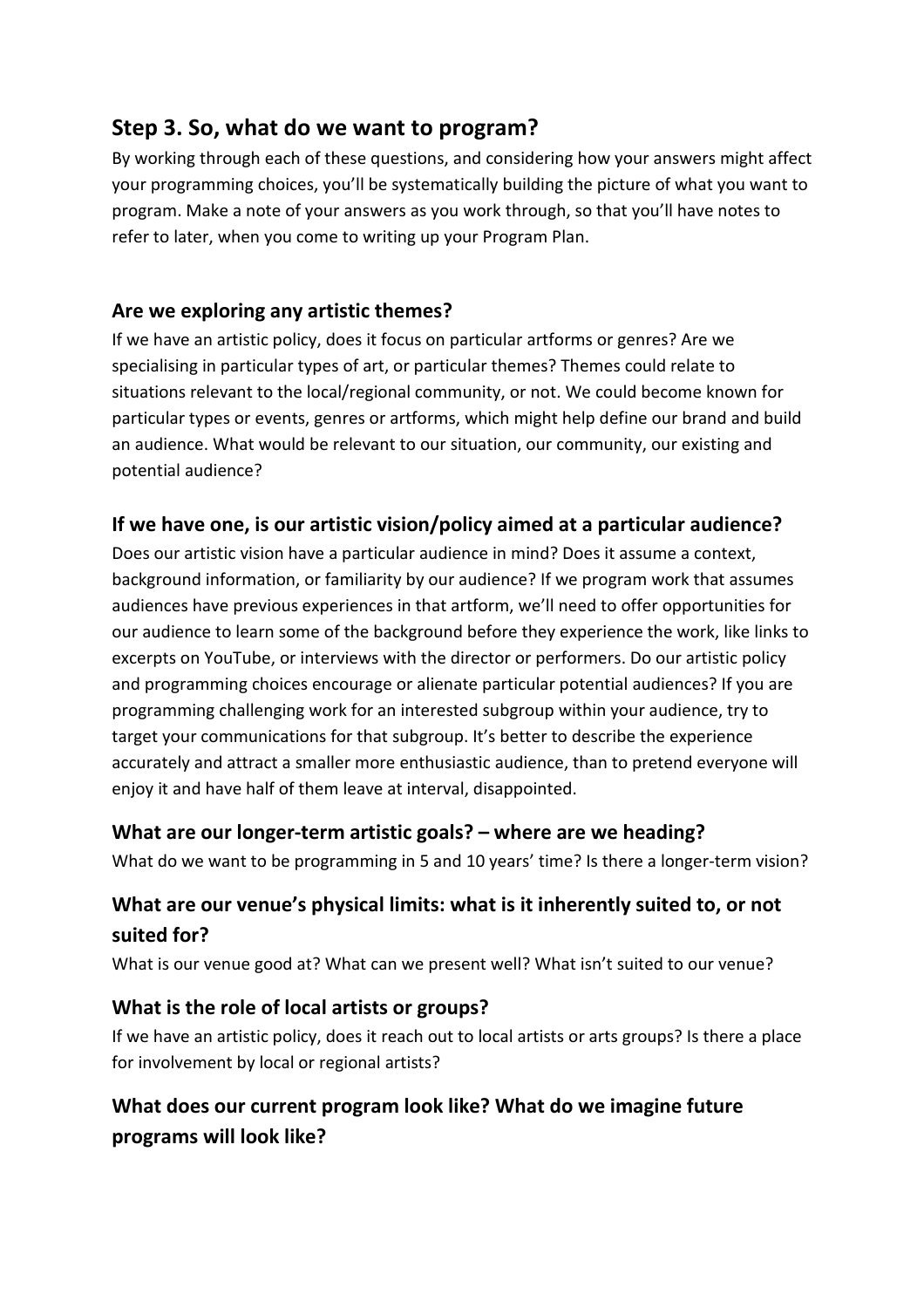# Step 3. So, what do we want to program?

By working through each of these questions, and considering how your answers might affect your programming choices, you'll be systematically building the picture of what you want to program. Make a note of your answers as you work through, so that you'll have notes to refer to later, when you come to writing up your Program Plan.

# Are we exploring any artistic themes?

If we have an artistic policy, does it focus on particular artforms or genres? Are we specialising in particular types of art, or particular themes? Themes could relate to situations relevant to the local/regional community, or not. We could become known for particular types or events, genres or artforms, which might help define our brand and build an audience. What would be relevant to our situation, our community, our existing and potential audience?

# If we have one, is our artistic vision/policy aimed at a particular audience?

Does our artistic vision have a particular audience in mind? Does it assume a context, background information, or familiarity by our audience? If we program work that assumes audiences have previous experiences in that artform, we'll need to offer opportunities for our audience to learn some of the background before they experience the work, like links to excerpts on YouTube, or interviews with the director or performers. Do our artistic policy and programming choices encourage or alienate particular potential audiences? If you are programming challenging work for an interested subgroup within your audience, try to target your communications for that subgroup. It's better to describe the experience accurately and attract a smaller more enthusiastic audience, than to pretend everyone will enjoy it and have half of them leave at interval, disappointed.

# What are our longer-term artistic goals? – where are we heading?

What do we want to be programming in 5 and 10 years' time? Is there a longer-term vision?

# What are our venue's physical limits: what is it inherently suited to, or not suited for?

What is our venue good at? What can we present well? What isn't suited to our venue?

# What is the role of local artists or groups?

If we have an artistic policy, does it reach out to local artists or arts groups? Is there a place for involvement by local or regional artists?

# What does our current program look like? What do we imagine future programs will look like?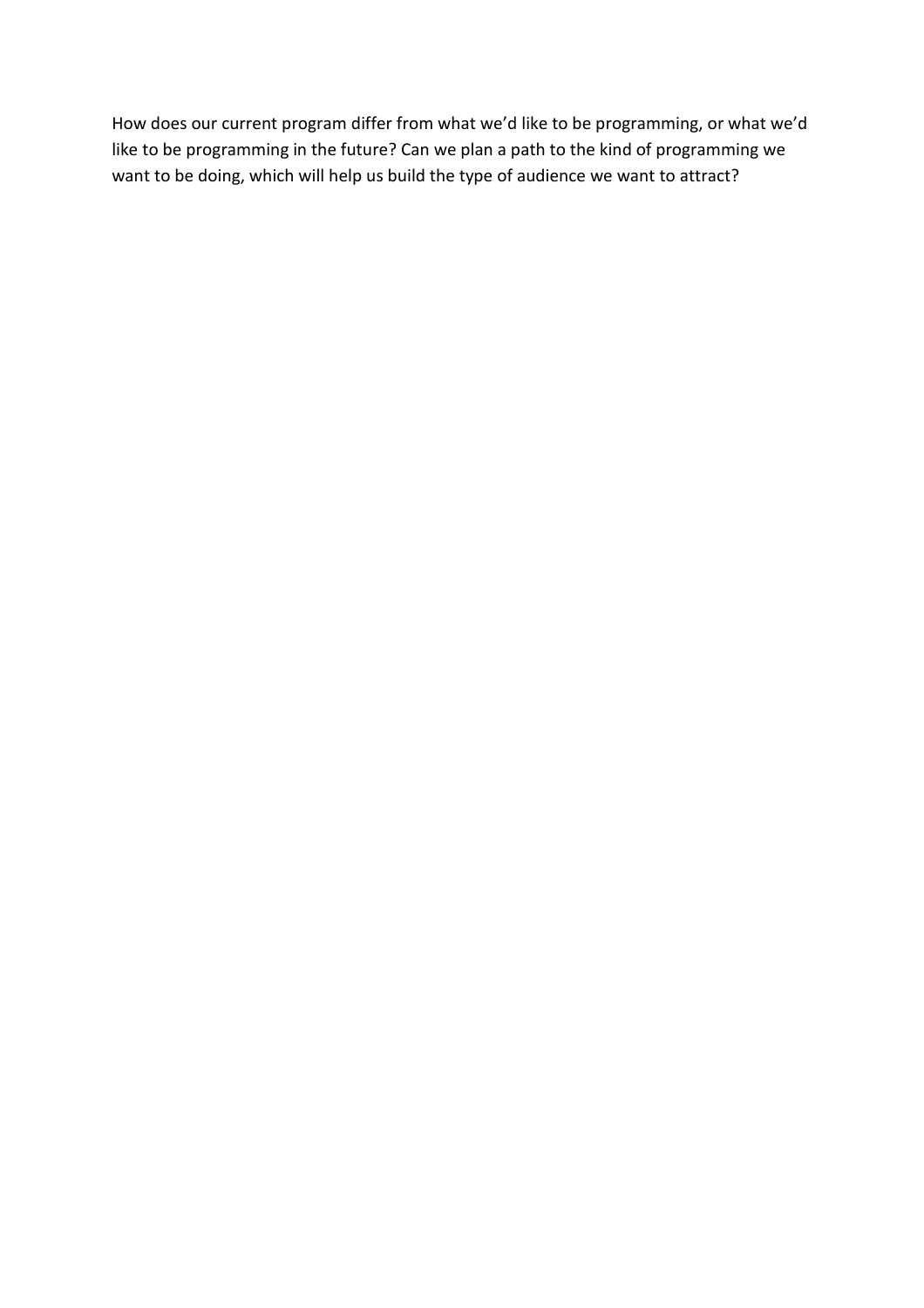How does our current program differ from what we'd like to be programming, or what we'd like to be programming in the future? Can we plan a path to the kind of programming we want to be doing, which will help us build the type of audience we want to attract?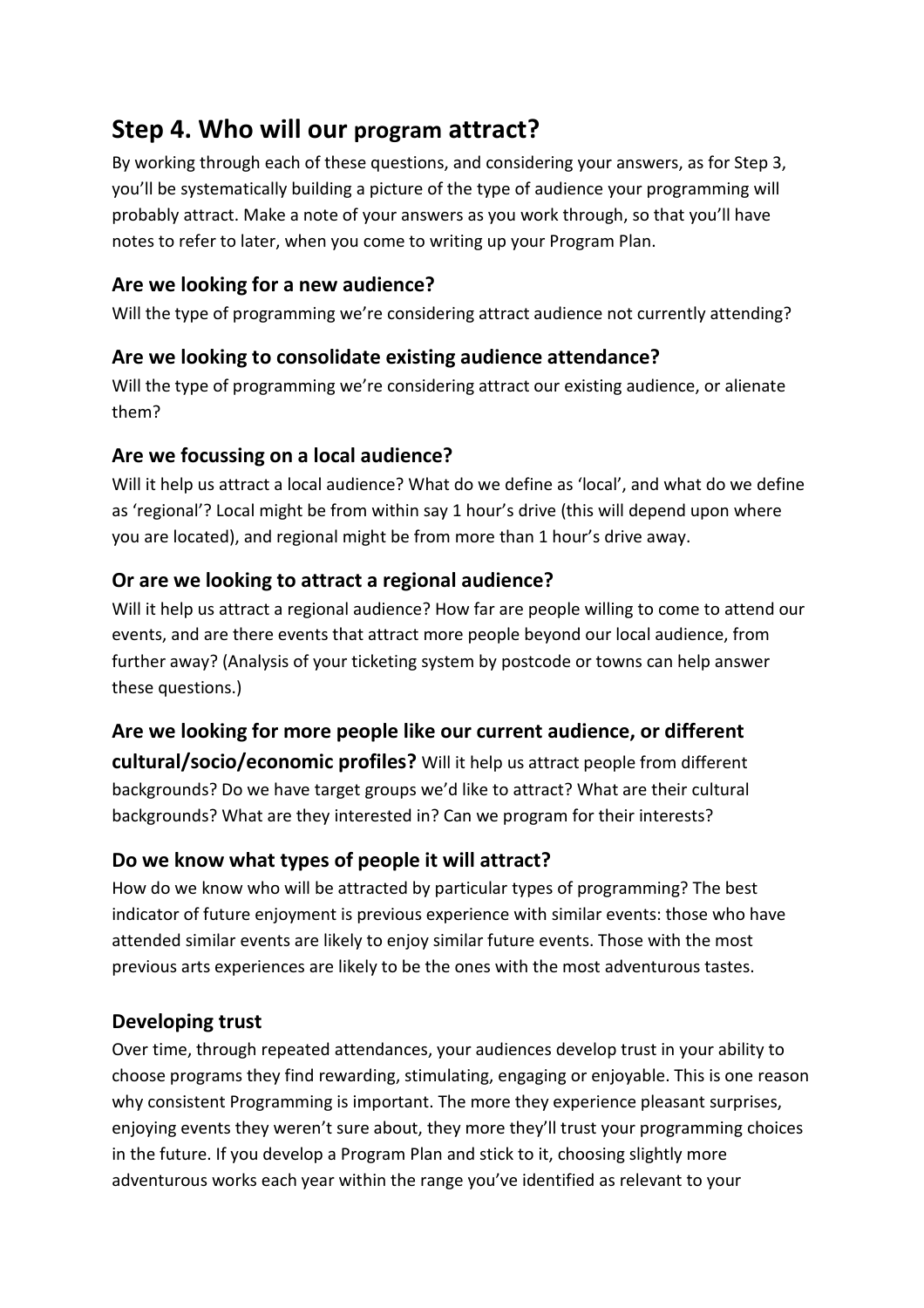# Step 4. Who will our program attract?

By working through each of these questions, and considering your answers, as for Step 3, you'll be systematically building a picture of the type of audience your programming will probably attract. Make a note of your answers as you work through, so that you'll have notes to refer to later, when you come to writing up your Program Plan.

# Are we looking for a new audience?

Will the type of programming we're considering attract audience not currently attending?

# Are we looking to consolidate existing audience attendance?

Will the type of programming we're considering attract our existing audience, or alienate them?

# Are we focussing on a local audience?

Will it help us attract a local audience? What do we define as 'local', and what do we define as 'regional'? Local might be from within say 1 hour's drive (this will depend upon where you are located), and regional might be from more than 1 hour's drive away.

# Or are we looking to attract a regional audience?

Will it help us attract a regional audience? How far are people willing to come to attend our events, and are there events that attract more people beyond our local audience, from further away? (Analysis of your ticketing system by postcode or towns can help answer these questions.)

# Are we looking for more people like our current audience, or different cultural/socio/economic profiles? Will it help us attract people from different backgrounds? Do we have target groups we'd like to attract? What are their cultural backgrounds? What are they interested in? Can we program for their interests?

# Do we know what types of people it will attract?

How do we know who will be attracted by particular types of programming? The best indicator of future enjoyment is previous experience with similar events: those who have attended similar events are likely to enjoy similar future events. Those with the most previous arts experiences are likely to be the ones with the most adventurous tastes.

# Developing trust

Over time, through repeated attendances, your audiences develop trust in your ability to choose programs they find rewarding, stimulating, engaging or enjoyable. This is one reason why consistent Programming is important. The more they experience pleasant surprises, enjoying events they weren't sure about, they more they'll trust your programming choices in the future. If you develop a Program Plan and stick to it, choosing slightly more adventurous works each year within the range you've identified as relevant to your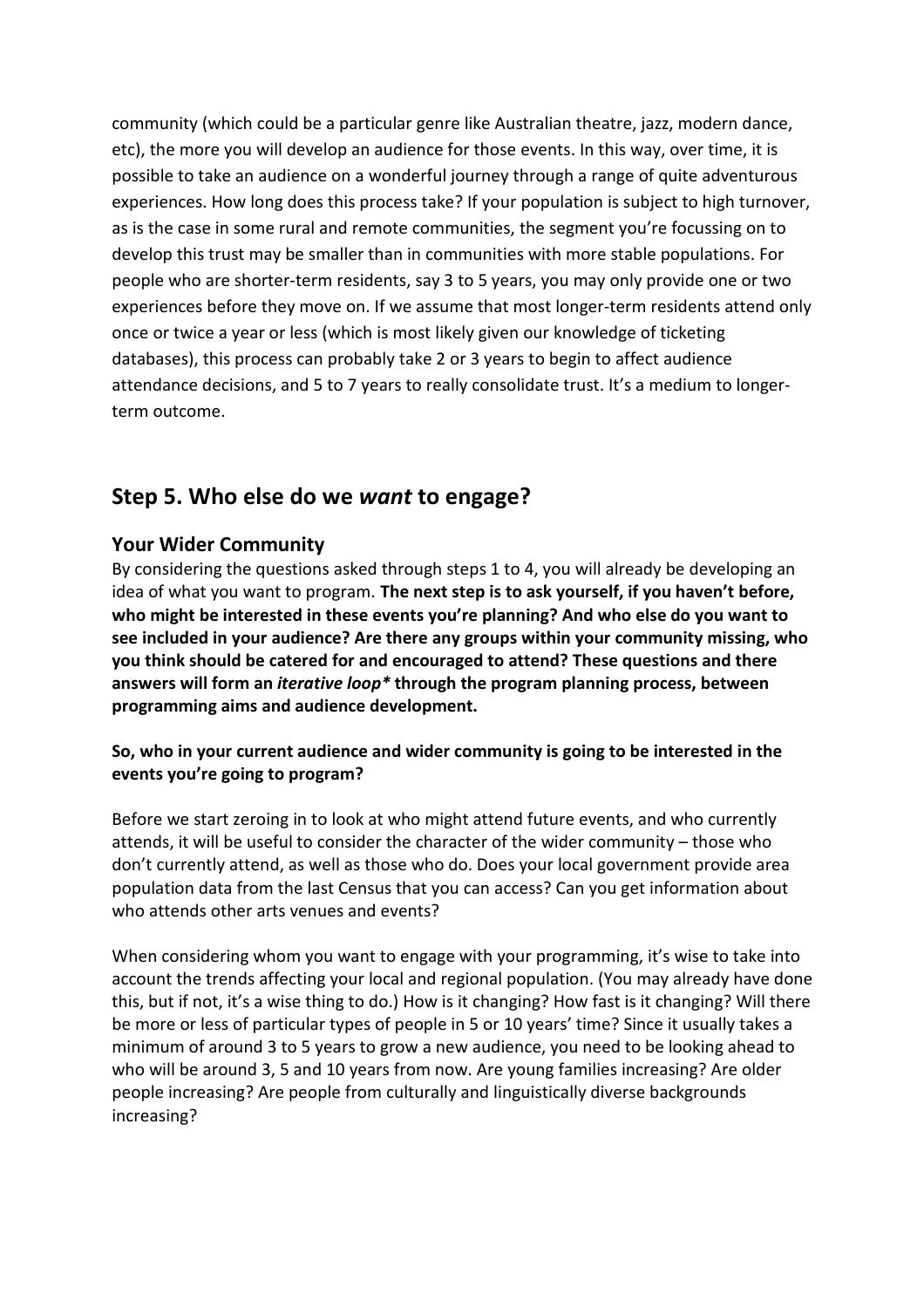community (which could be a particular genre like Australian theatre, jazz, modern dance, etc), the more you will develop an audience for those events. In this way, over time, it is possible to take an audience on a wonderful journey through a range of quite adventurous experiences. How long does this process take? If your population is subject to high turnover, as is the case in some rural and remote communities, the segment you're focussing on to develop this trust may be smaller than in communities with more stable populations. For people who are shorter-term residents, say 3 to 5 years, you may only provide one or two experiences before they move on. If we assume that most longer-term residents attend only once or twice a year or less (which is most likely given our knowledge of ticketing databases), this process can probably take 2 or 3 years to begin to affect audience attendance decisions, and 5 to 7 years to really consolidate trust. It's a medium to longerterm outcome.

# Step 5. Who else do we want to engage?

## Your Wider Community

By considering the questions asked through steps 1 to 4, you will already be developing an idea of what you want to program. The next step is to ask yourself, if you haven't before, who might be interested in these events you're planning? And who else do you want to see included in your audience? Are there any groups within your community missing, who you think should be catered for and encouraged to attend? These questions and there answers will form an *iterative loop*\* through the program planning process, between programming aims and audience development.

## So, who in your current audience and wider community is going to be interested in the events you're going to program?

Before we start zeroing in to look at who might attend future events, and who currently attends, it will be useful to consider the character of the wider community – those who don't currently attend, as well as those who do. Does your local government provide area population data from the last Census that you can access? Can you get information about who attends other arts venues and events?

When considering whom you want to engage with your programming, it's wise to take into account the trends affecting your local and regional population. (You may already have done this, but if not, it's a wise thing to do.) How is it changing? How fast is it changing? Will there be more or less of particular types of people in 5 or 10 years' time? Since it usually takes a minimum of around 3 to 5 years to grow a new audience, you need to be looking ahead to who will be around 3, 5 and 10 years from now. Are young families increasing? Are older people increasing? Are people from culturally and linguistically diverse backgrounds increasing?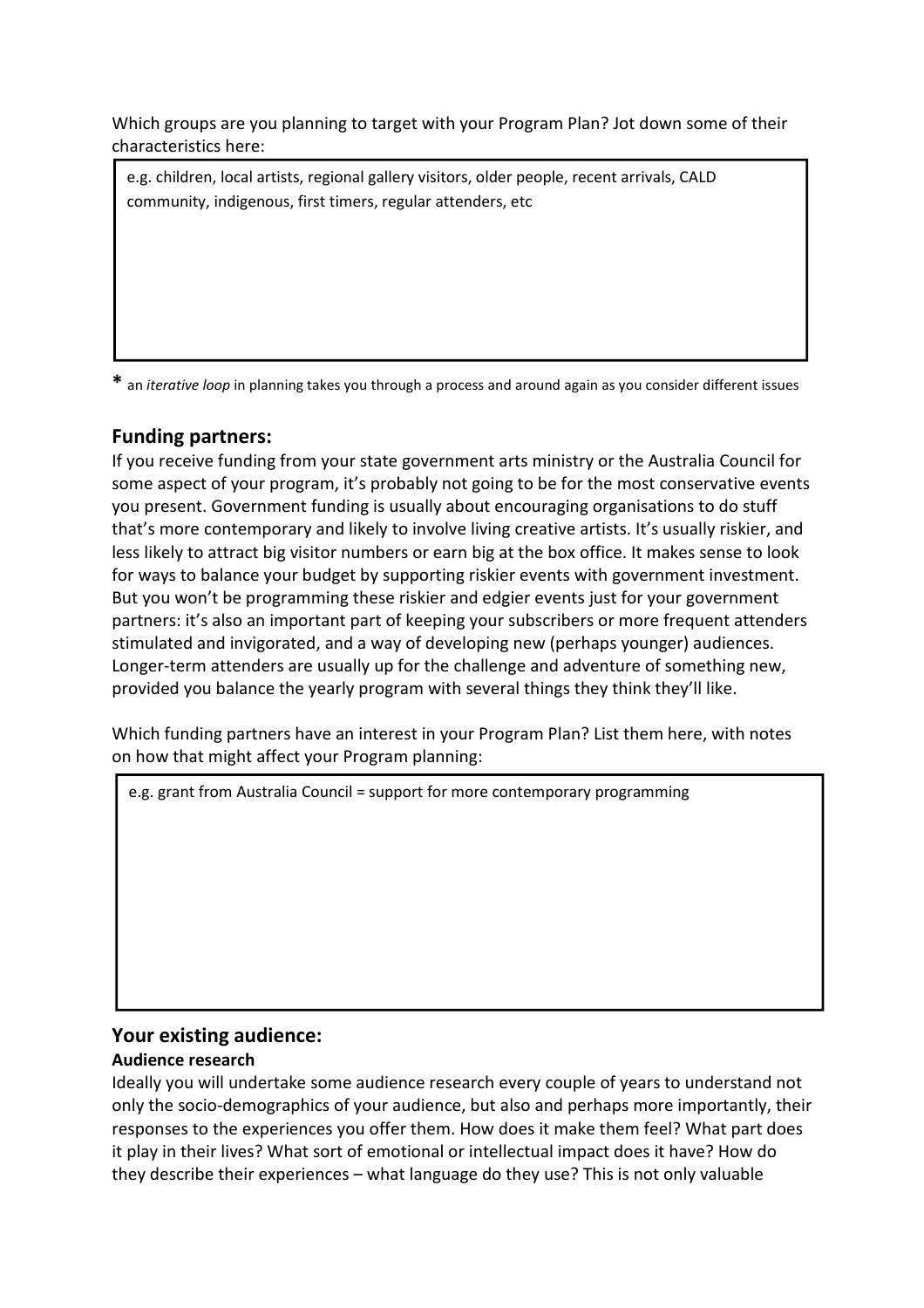Which groups are you planning to target with your Program Plan? Jot down some of their characteristics here:

e.g. children, local artists, regional gallery visitors, older people, recent arrivals, CALD community, indigenous, first timers, regular attenders, etc

\* an *iterative loop* in planning takes you through a process and around again as you consider different issues

## Funding partners:

If you receive funding from your state government arts ministry or the Australia Council for some aspect of your program, it's probably not going to be for the most conservative events you present. Government funding is usually about encouraging organisations to do stuff that's more contemporary and likely to involve living creative artists. It's usually riskier, and less likely to attract big visitor numbers or earn big at the box office. It makes sense to look for ways to balance your budget by supporting riskier events with government investment. But you won't be programming these riskier and edgier events just for your government partners: it's also an important part of keeping your subscribers or more frequent attenders stimulated and invigorated, and a way of developing new (perhaps younger) audiences. Longer-term attenders are usually up for the challenge and adventure of something new, provided you balance the yearly program with several things they think they'll like.

Which funding partners have an interest in your Program Plan? List them here, with notes on how that might affect your Program planning:

e.g. grant from Australia Council = support for more contemporary programming

## Your existing audience:

#### Audience research

Ideally you will undertake some audience research every couple of years to understand not only the socio-demographics of your audience, but also and perhaps more importantly, their responses to the experiences you offer them. How does it make them feel? What part does it play in their lives? What sort of emotional or intellectual impact does it have? How do they describe their experiences – what language do they use? This is not only valuable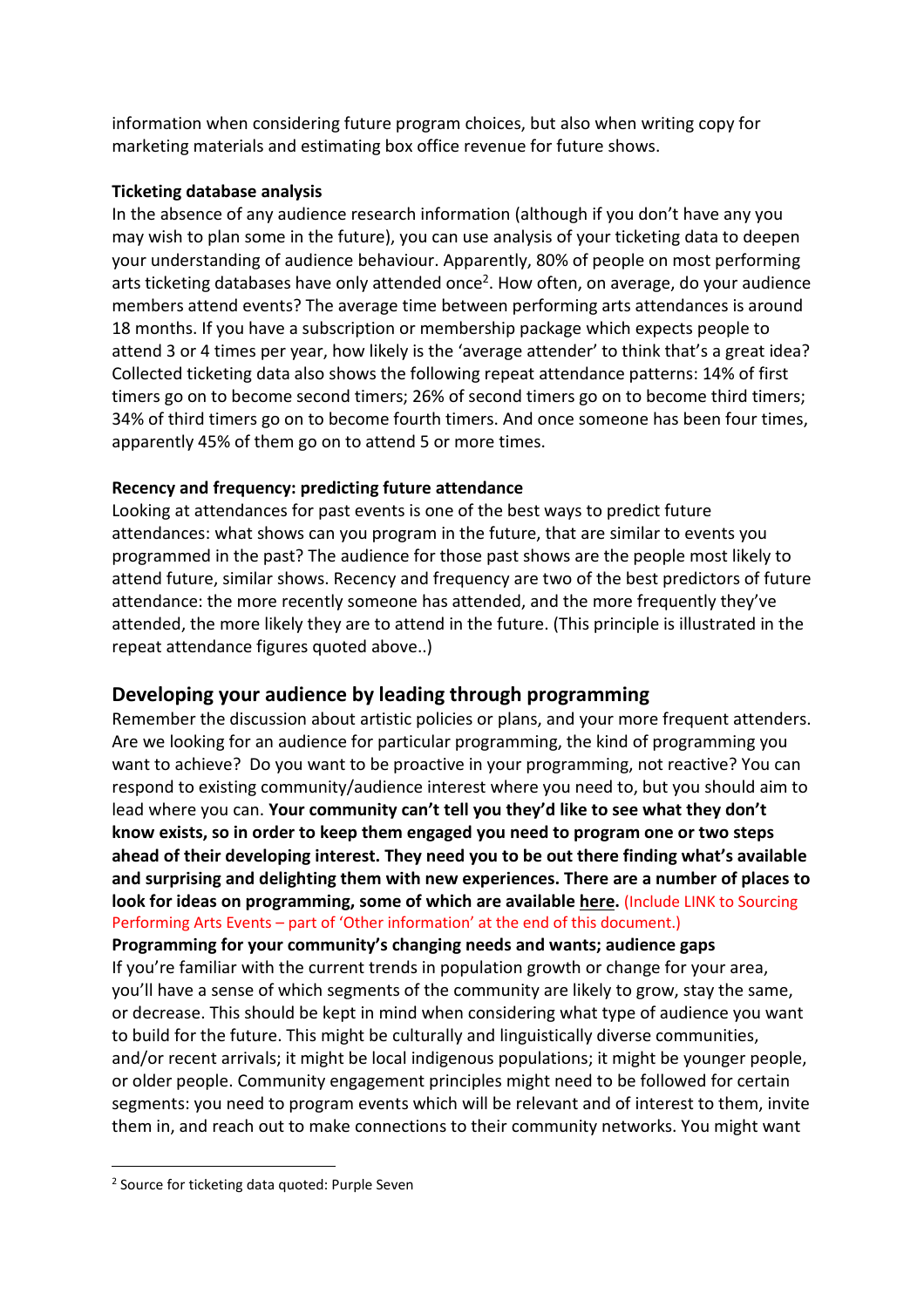information when considering future program choices, but also when writing copy for marketing materials and estimating box office revenue for future shows.

#### Ticketing database analysis

In the absence of any audience research information (although if you don't have any you may wish to plan some in the future), you can use analysis of your ticketing data to deepen your understanding of audience behaviour. Apparently, 80% of people on most performing arts ticketing databases have only attended once<sup>2</sup>. How often, on average, do your audience members attend events? The average time between performing arts attendances is around 18 months. If you have a subscription or membership package which expects people to attend 3 or 4 times per year, how likely is the 'average attender' to think that's a great idea? Collected ticketing data also shows the following repeat attendance patterns: 14% of first timers go on to become second timers; 26% of second timers go on to become third timers; 34% of third timers go on to become fourth timers. And once someone has been four times, apparently 45% of them go on to attend 5 or more times.

#### Recency and frequency: predicting future attendance

Looking at attendances for past events is one of the best ways to predict future attendances: what shows can you program in the future, that are similar to events you programmed in the past? The audience for those past shows are the people most likely to attend future, similar shows. Recency and frequency are two of the best predictors of future attendance: the more recently someone has attended, and the more frequently they've attended, the more likely they are to attend in the future. (This principle is illustrated in the repeat attendance figures quoted above..)

## Developing your audience by leading through programming

Remember the discussion about artistic policies or plans, and your more frequent attenders. Are we looking for an audience for particular programming, the kind of programming you want to achieve? Do you want to be proactive in your programming, not reactive? You can respond to existing community/audience interest where you need to, but you should aim to lead where you can. Your community can't tell you they'd like to see what they don't know exists, so in order to keep them engaged you need to program one or two steps ahead of their developing interest. They need you to be out there finding what's available and surprising and delighting them with new experiences. There are a number of places to look for ideas on programming, some of which are available here. (Include LINK to Sourcing Performing Arts Events – part of 'Other information' at the end of this document.)

Programming for your community's changing needs and wants; audience gaps If you're familiar with the current trends in population growth or change for your area, you'll have a sense of which segments of the community are likely to grow, stay the same, or decrease. This should be kept in mind when considering what type of audience you want to build for the future. This might be culturally and linguistically diverse communities, and/or recent arrivals; it might be local indigenous populations; it might be younger people, or older people. Community engagement principles might need to be followed for certain segments: you need to program events which will be relevant and of interest to them, invite them in, and reach out to make connections to their community networks. You might want

l

<sup>&</sup>lt;sup>2</sup> Source for ticketing data quoted: Purple Seven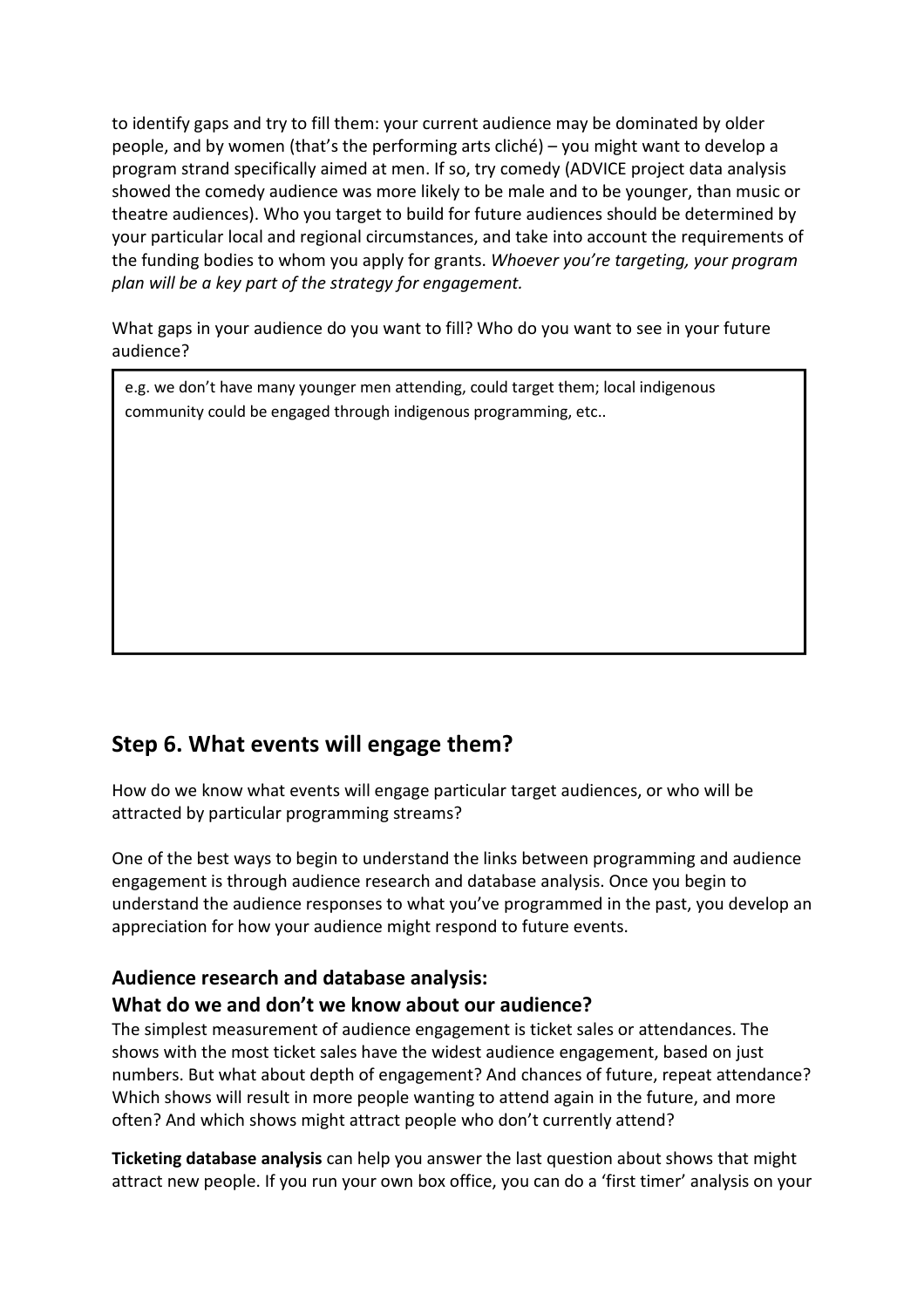to identify gaps and try to fill them: your current audience may be dominated by older people, and by women (that's the performing arts cliché) – you might want to develop a program strand specifically aimed at men. If so, try comedy (ADVICE project data analysis showed the comedy audience was more likely to be male and to be younger, than music or theatre audiences). Who you target to build for future audiences should be determined by your particular local and regional circumstances, and take into account the requirements of the funding bodies to whom you apply for grants. Whoever you're targeting, your program plan will be a key part of the strategy for engagement.

What gaps in your audience do you want to fill? Who do you want to see in your future audience?

e.g. we don't have many younger men attending, could target them; local indigenous community could be engaged through indigenous programming, etc..

# Step 6. What events will engage them?

2. What shows engage them?

How do we know what events will engage particular target audiences, or who will be attracted by particular programming streams?

One of the best ways to begin to understand the links between programming and audience engagement is through audience research and database analysis. Once you begin to understand the audience responses to what you've programmed in the past, you develop an appreciation for how your audience might respond to future events.

# Audience research and database analysis:

## What do we and don't we know about our audience?

The simplest measurement of audience engagement is ticket sales or attendances. The shows with the most ticket sales have the widest audience engagement, based on just numbers. But what about depth of engagement? And chances of future, repeat attendance? Which shows will result in more people wanting to attend again in the future, and more often? And which shows might attract people who don't currently attend?

Ticketing database analysis can help you answer the last question about shows that might attract new people. If you run your own box office, you can do a 'first timer' analysis on your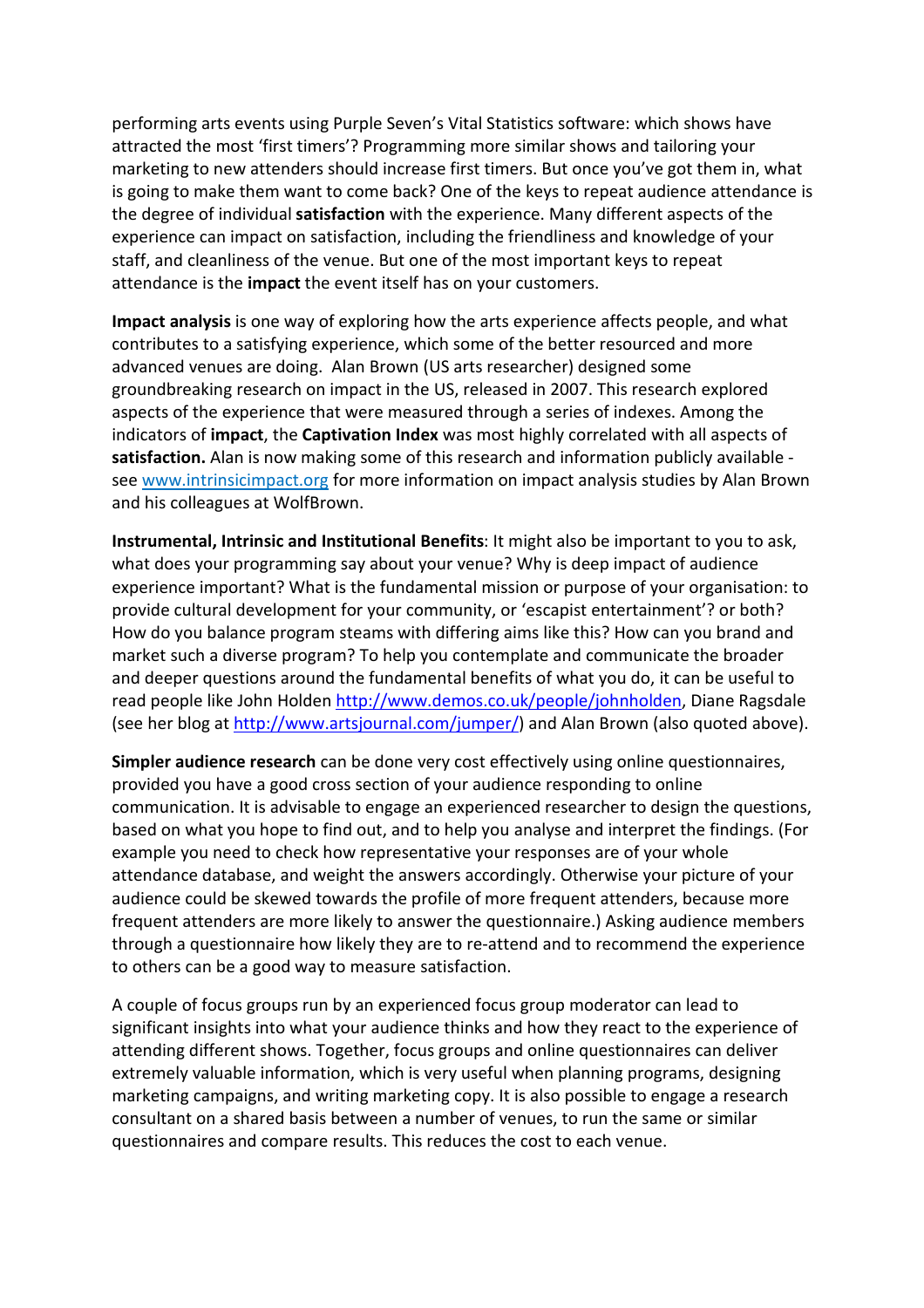performing arts events using Purple Seven's Vital Statistics software: which shows have attracted the most 'first timers'? Programming more similar shows and tailoring your marketing to new attenders should increase first timers. But once you've got them in, what is going to make them want to come back? One of the keys to repeat audience attendance is the degree of individual satisfaction with the experience. Many different aspects of the experience can impact on satisfaction, including the friendliness and knowledge of your staff, and cleanliness of the venue. But one of the most important keys to repeat attendance is the *impact* the event itself has on your customers.

Impact analysis is one way of exploring how the arts experience affects people, and what contributes to a satisfying experience, which some of the better resourced and more advanced venues are doing. Alan Brown (US arts researcher) designed some groundbreaking research on impact in the US, released in 2007. This research explored aspects of the experience that were measured through a series of indexes. Among the indicators of impact, the Captivation Index was most highly correlated with all aspects of satisfaction. Alan is now making some of this research and information publicly available see www.intrinsicimpact.org for more information on impact analysis studies by Alan Brown and his colleagues at WolfBrown.

Instrumental, Intrinsic and Institutional Benefits: It might also be important to you to ask, what does your programming say about your venue? Why is deep impact of audience experience important? What is the fundamental mission or purpose of your organisation: to provide cultural development for your community, or 'escapist entertainment'? or both? How do you balance program steams with differing aims like this? How can you brand and market such a diverse program? To help you contemplate and communicate the broader and deeper questions around the fundamental benefits of what you do, it can be useful to read people like John Holden http://www.demos.co.uk/people/johnholden, Diane Ragsdale (see her blog at http://www.artsjournal.com/jumper/) and Alan Brown (also quoted above).

Simpler audience research can be done very cost effectively using online questionnaires, provided you have a good cross section of your audience responding to online communication. It is advisable to engage an experienced researcher to design the questions, based on what you hope to find out, and to help you analyse and interpret the findings. (For example you need to check how representative your responses are of your whole attendance database, and weight the answers accordingly. Otherwise your picture of your audience could be skewed towards the profile of more frequent attenders, because more frequent attenders are more likely to answer the questionnaire.) Asking audience members through a questionnaire how likely they are to re-attend and to recommend the experience to others can be a good way to measure satisfaction.

A couple of focus groups run by an experienced focus group moderator can lead to significant insights into what your audience thinks and how they react to the experience of attending different shows. Together, focus groups and online questionnaires can deliver extremely valuable information, which is very useful when planning programs, designing marketing campaigns, and writing marketing copy. It is also possible to engage a research consultant on a shared basis between a number of venues, to run the same or similar questionnaires and compare results. This reduces the cost to each venue.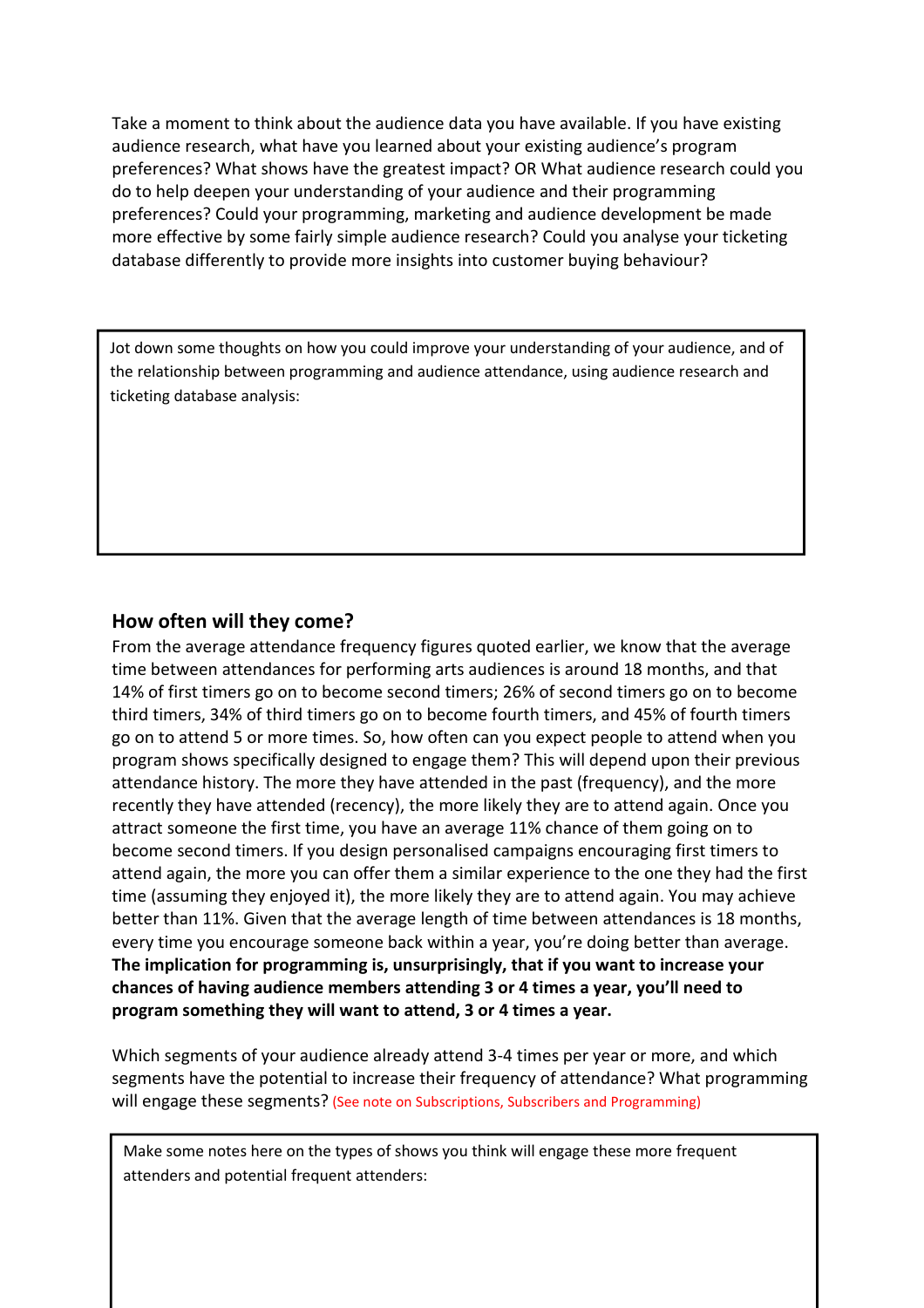Take a moment to think about the audience data you have available. If you have existing audience research, what have you learned about your existing audience's program preferences? What shows have the greatest impact? OR What audience research could you do to help deepen your understanding of your audience and their programming preferences? Could your programming, marketing and audience development be made more effective by some fairly simple audience research? Could you analyse your ticketing database differently to provide more insights into customer buying behaviour?

Jot down some thoughts on how you could improve your understanding of your audience, and of the relationship between programming and audience attendance, using audience research and ticketing database analysis:

## How often will they come?

From the average attendance frequency figures quoted earlier, we know that the average time between attendances for performing arts audiences is around 18 months, and that 14% of first timers go on to become second timers; 26% of second timers go on to become third timers, 34% of third timers go on to become fourth timers, and 45% of fourth timers go on to attend 5 or more times. So, how often can you expect people to attend when you program shows specifically designed to engage them? This will depend upon their previous attendance history. The more they have attended in the past (frequency), and the more recently they have attended (recency), the more likely they are to attend again. Once you attract someone the first time, you have an average 11% chance of them going on to become second timers. If you design personalised campaigns encouraging first timers to attend again, the more you can offer them a similar experience to the one they had the first time (assuming they enjoyed it), the more likely they are to attend again. You may achieve better than 11%. Given that the average length of time between attendances is 18 months, every time you encourage someone back within a year, you're doing better than average. The implication for programming is, unsurprisingly, that if you want to increase your chances of having audience members attending 3 or 4 times a year, you'll need to program something they will want to attend, 3 or 4 times a year.

Which segments of your audience already attend 3-4 times per year or more, and which segments have the potential to increase their frequency of attendance? What programming will engage these segments? (See note on Subscriptions, Subscribers and Programming)

Make some notes here on the types of shows you think will engage these more frequent attenders and potential frequent attenders: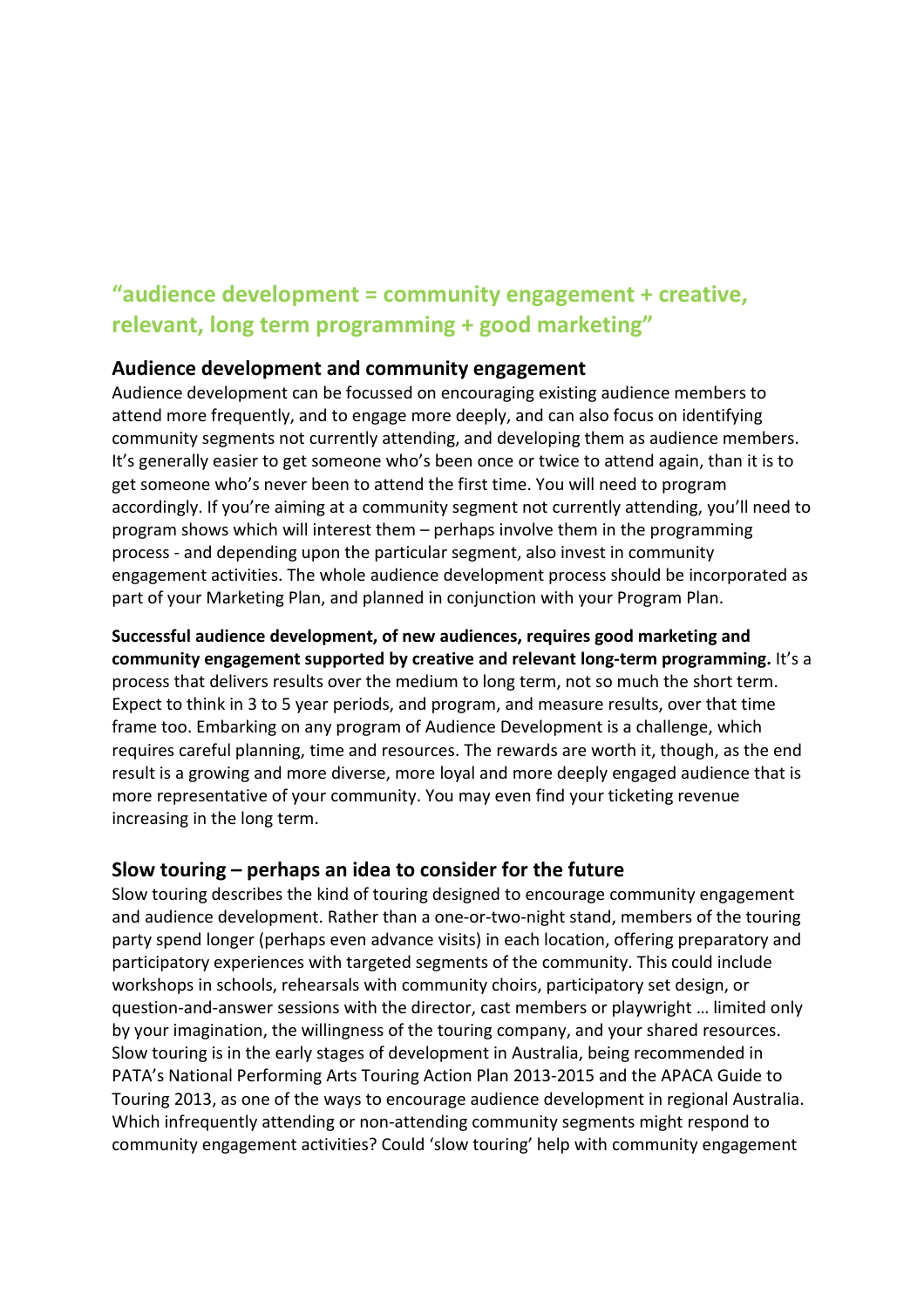# "audience development = community engagement + creative, relevant, long term programming + good marketing"

## Audience development and community engagement

Audience development can be focussed on encouraging existing audience members to attend more frequently, and to engage more deeply, and can also focus on identifying community segments not currently attending, and developing them as audience members. It's generally easier to get someone who's been once or twice to attend again, than it is to get someone who's never been to attend the first time. You will need to program accordingly. If you're aiming at a community segment not currently attending, you'll need to program shows which will interest them – perhaps involve them in the programming process - and depending upon the particular segment, also invest in community engagement activities. The whole audience development process should be incorporated as part of your Marketing Plan, and planned in conjunction with your Program Plan.

# Successful audience development, of new audiences, requires good marketing and

community engagement supported by creative and relevant long-term programming. It's a process that delivers results over the medium to long term, not so much the short term. Expect to think in 3 to 5 year periods, and program, and measure results, over that time frame too. Embarking on any program of Audience Development is a challenge, which requires careful planning, time and resources. The rewards are worth it, though, as the end result is a growing and more diverse, more loyal and more deeply engaged audience that is more representative of your community. You may even find your ticketing revenue increasing in the long term.

## Slow touring – perhaps an idea to consider for the future

Slow touring describes the kind of touring designed to encourage community engagement and audience development. Rather than a one-or-two-night stand, members of the touring party spend longer (perhaps even advance visits) in each location, offering preparatory and participatory experiences with targeted segments of the community. This could include workshops in schools, rehearsals with community choirs, participatory set design, or question-and-answer sessions with the director, cast members or playwright … limited only by your imagination, the willingness of the touring company, and your shared resources. Slow touring is in the early stages of development in Australia, being recommended in PATA's National Performing Arts Touring Action Plan 2013-2015 and the APACA Guide to Touring 2013, as one of the ways to encourage audience development in regional Australia. Which infrequently attending or non-attending community segments might respond to community engagement activities? Could 'slow touring' help with community engagement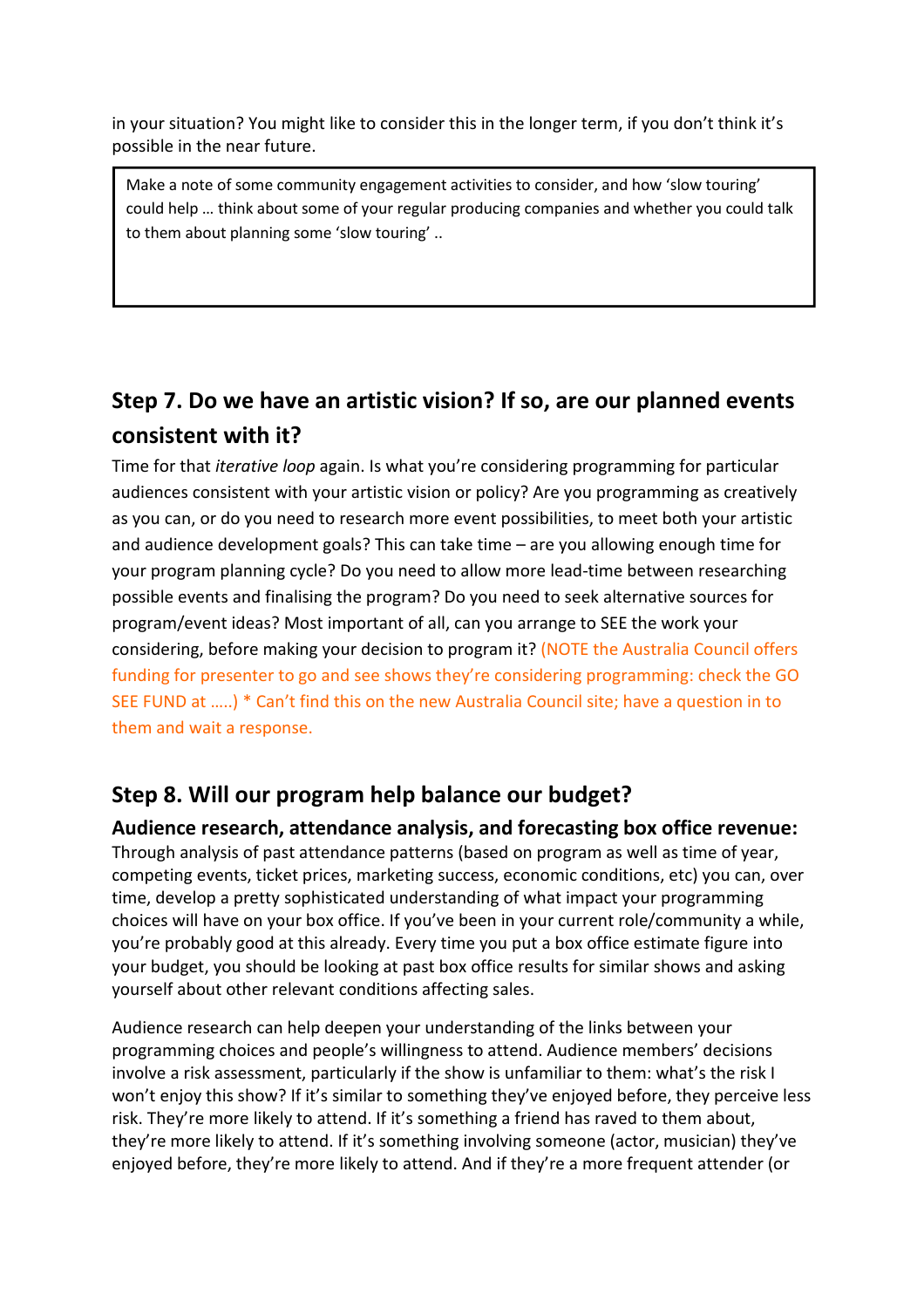in your situation? You might like to consider this in the longer term, if you don't think it's possible in the near future.

Make a note of some community engagement activities to consider, and how 'slow touring' could help … think about some of your regular producing companies and whether you could talk to them about planning some 'slow touring' ..

# Step 7. Do we have an artistic vision? If so, are our planned events consistent with it?

Time for that iterative loop again. Is what you're considering programming for particular audiences consistent with your artistic vision or policy? Are you programming as creatively as you can, or do you need to research more event possibilities, to meet both your artistic and audience development goals? This can take time – are you allowing enough time for your program planning cycle? Do you need to allow more lead-time between researching possible events and finalising the program? Do you need to seek alternative sources for program/event ideas? Most important of all, can you arrange to SEE the work your considering, before making your decision to program it? (NOTE the Australia Council offers funding for presenter to go and see shows they're considering programming: check the GO SEE FUND at …..) \* Can't find this on the new Australia Council site; have a question in to them and wait a response.

# Step 8. Will our program help balance our budget?

Audience research, attendance analysis, and forecasting box office revenue:

Through analysis of past attendance patterns (based on program as well as time of year, competing events, ticket prices, marketing success, economic conditions, etc) you can, over time, develop a pretty sophisticated understanding of what impact your programming choices will have on your box office. If you've been in your current role/community a while, you're probably good at this already. Every time you put a box office estimate figure into your budget, you should be looking at past box office results for similar shows and asking yourself about other relevant conditions affecting sales.

Audience research can help deepen your understanding of the links between your programming choices and people's willingness to attend. Audience members' decisions involve a risk assessment, particularly if the show is unfamiliar to them: what's the risk I won't enjoy this show? If it's similar to something they've enjoyed before, they perceive less risk. They're more likely to attend. If it's something a friend has raved to them about, they're more likely to attend. If it's something involving someone (actor, musician) they've enjoyed before, they're more likely to attend. And if they're a more frequent attender (or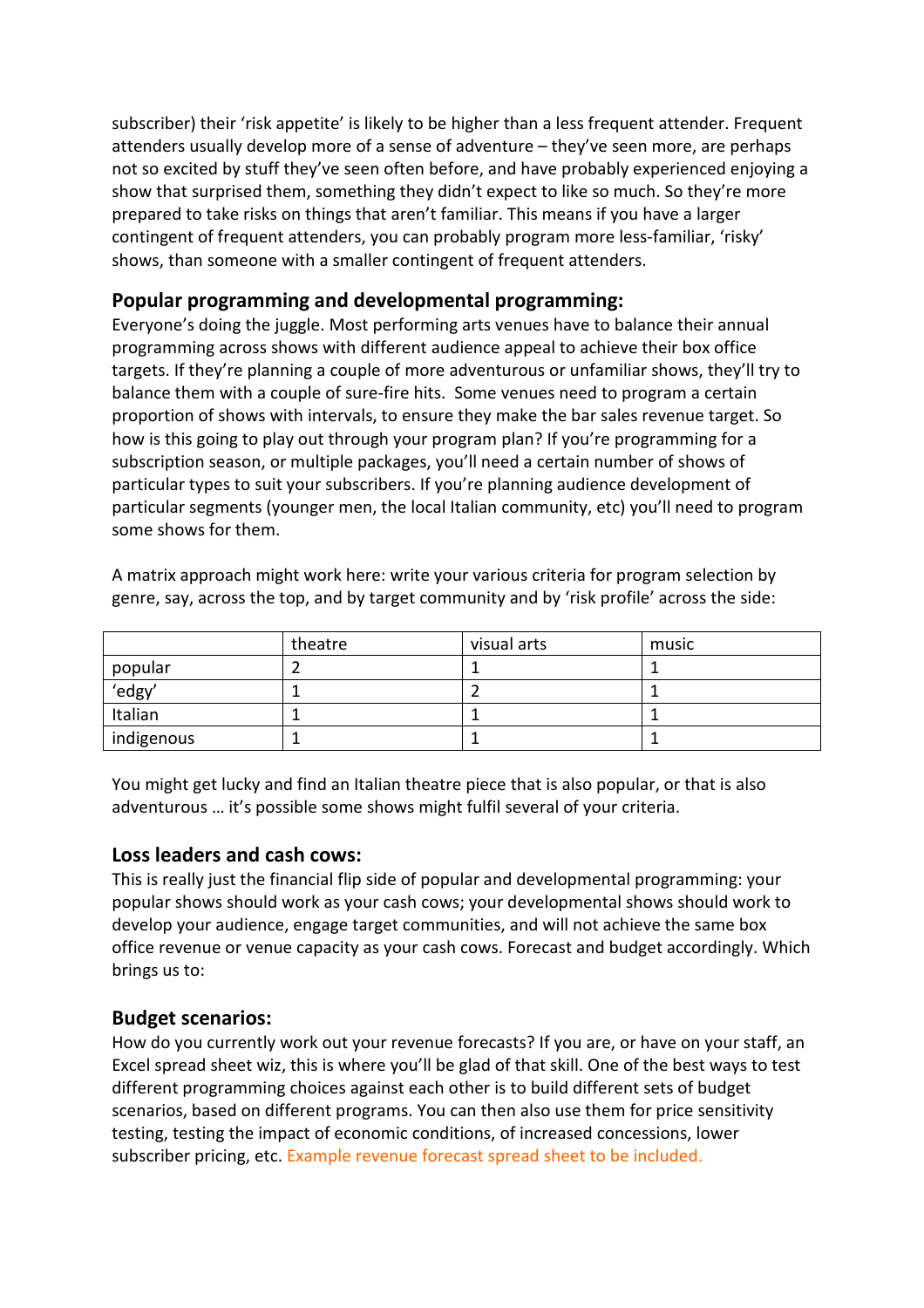subscriber) their 'risk appetite' is likely to be higher than a less frequent attender. Frequent attenders usually develop more of a sense of adventure – they've seen more, are perhaps not so excited by stuff they've seen often before, and have probably experienced enjoying a show that surprised them, something they didn't expect to like so much. So they're more prepared to take risks on things that aren't familiar. This means if you have a larger contingent of frequent attenders, you can probably program more less-familiar, 'risky' shows, than someone with a smaller contingent of frequent attenders.

## Popular programming and developmental programming:

Everyone's doing the juggle. Most performing arts venues have to balance their annual programming across shows with different audience appeal to achieve their box office targets. If they're planning a couple of more adventurous or unfamiliar shows, they'll try to balance them with a couple of sure-fire hits. Some venues need to program a certain proportion of shows with intervals, to ensure they make the bar sales revenue target. So how is this going to play out through your program plan? If you're programming for a subscription season, or multiple packages, you'll need a certain number of shows of particular types to suit your subscribers. If you're planning audience development of particular segments (younger men, the local Italian community, etc) you'll need to program some shows for them.

|            | theatre | visual arts | music |
|------------|---------|-------------|-------|
| popular    |         |             |       |
| 'edgy'     |         |             |       |
| Italian    |         |             |       |
| indigenous |         |             |       |

A matrix approach might work here: write your various criteria for program selection by genre, say, across the top, and by target community and by 'risk profile' across the side:

You might get lucky and find an Italian theatre piece that is also popular, or that is also adventurous … it's possible some shows might fulfil several of your criteria.

#### Loss leaders and cash cows:

This is really just the financial flip side of popular and developmental programming: your popular shows should work as your cash cows; your developmental shows should work to develop your audience, engage target communities, and will not achieve the same box office revenue or venue capacity as your cash cows. Forecast and budget accordingly. Which brings us to:

## Budget scenarios:

How do you currently work out your revenue forecasts? If you are, or have on your staff, an Excel spread sheet wiz, this is where you'll be glad of that skill. One of the best ways to test different programming choices against each other is to build different sets of budget scenarios, based on different programs. You can then also use them for price sensitivity testing, testing the impact of economic conditions, of increased concessions, lower subscriber pricing, etc. Example revenue forecast spread sheet to be included.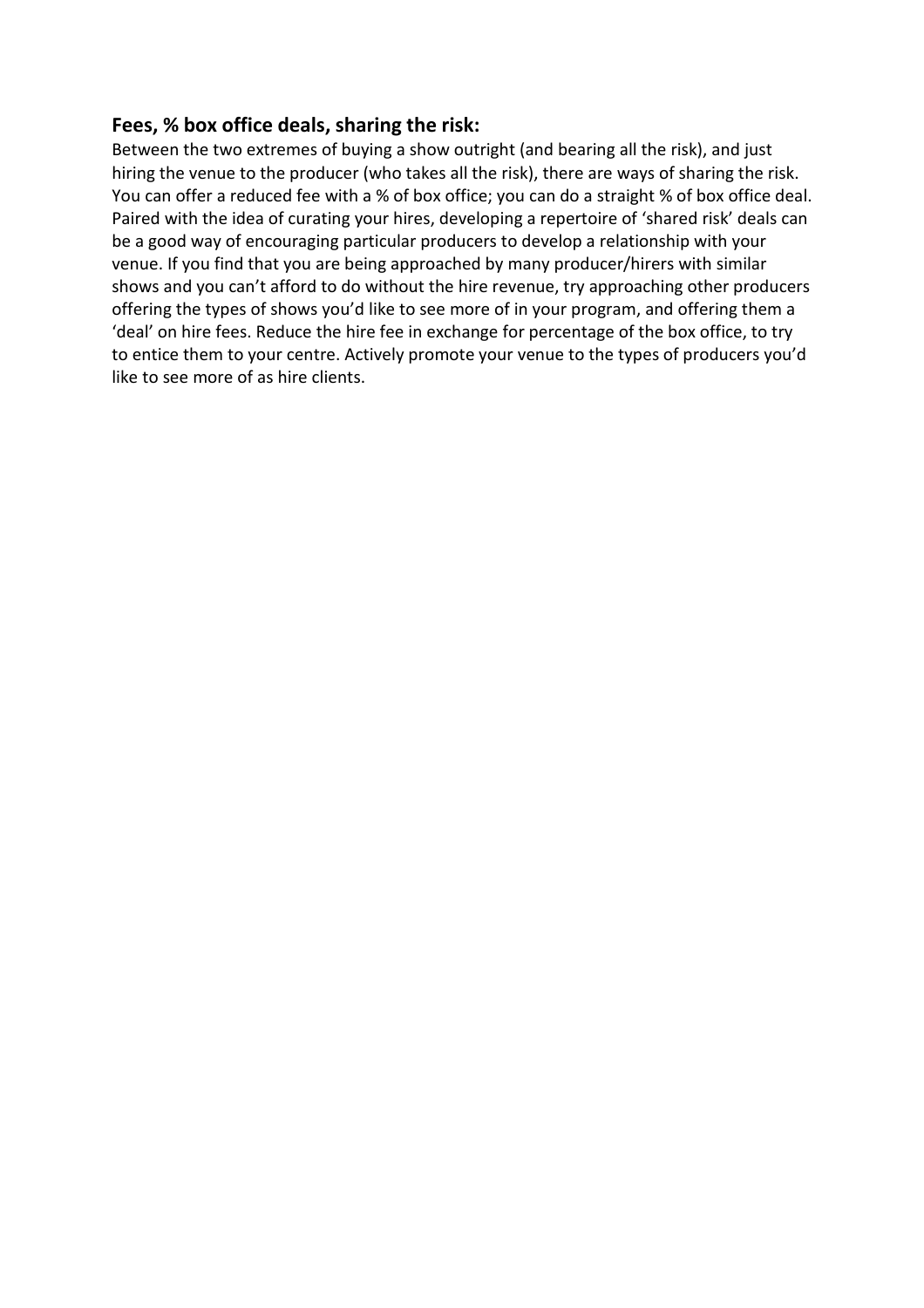## Fees, % box office deals, sharing the risk:

Between the two extremes of buying a show outright (and bearing all the risk), and just hiring the venue to the producer (who takes all the risk), there are ways of sharing the risk. You can offer a reduced fee with a % of box office; you can do a straight % of box office deal. Paired with the idea of curating your hires, developing a repertoire of 'shared risk' deals can be a good way of encouraging particular producers to develop a relationship with your venue. If you find that you are being approached by many producer/hirers with similar shows and you can't afford to do without the hire revenue, try approaching other producers offering the types of shows you'd like to see more of in your program, and offering them a 'deal' on hire fees. Reduce the hire fee in exchange for percentage of the box office, to try to entice them to your centre. Actively promote your venue to the types of producers you'd like to see more of as hire clients.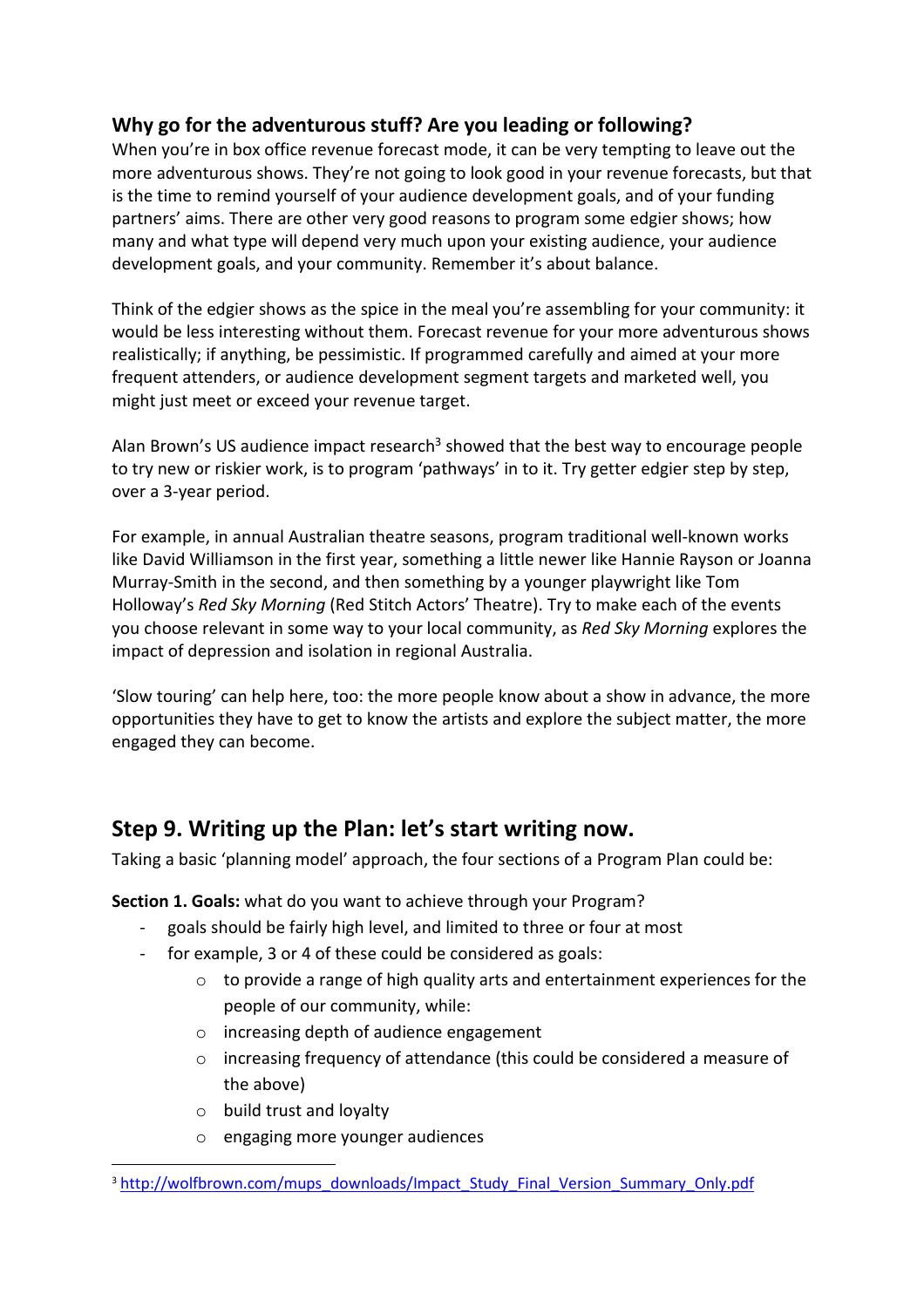# Why go for the adventurous stuff? Are you leading or following?

When you're in box office revenue forecast mode, it can be very tempting to leave out the more adventurous shows. They're not going to look good in your revenue forecasts, but that is the time to remind yourself of your audience development goals, and of your funding partners' aims. There are other very good reasons to program some edgier shows; how many and what type will depend very much upon your existing audience, your audience development goals, and your community. Remember it's about balance.

Think of the edgier shows as the spice in the meal you're assembling for your community: it would be less interesting without them. Forecast revenue for your more adventurous shows realistically; if anything, be pessimistic. If programmed carefully and aimed at your more frequent attenders, or audience development segment targets and marketed well, you might just meet or exceed your revenue target.

Alan Brown's US audience impact research<sup>3</sup> showed that the best way to encourage people to try new or riskier work, is to program 'pathways' in to it. Try getter edgier step by step, over a 3-year period.

For example, in annual Australian theatre seasons, program traditional well-known works like David Williamson in the first year, something a little newer like Hannie Rayson or Joanna Murray-Smith in the second, and then something by a younger playwright like Tom Holloway's Red Sky Morning (Red Stitch Actors' Theatre). Try to make each of the events you choose relevant in some way to your local community, as Red Sky Morning explores the impact of depression and isolation in regional Australia.

'Slow touring' can help here, too: the more people know about a show in advance, the more opportunities they have to get to know the artists and explore the subject matter, the more engaged they can become.

# Step 9. Writing up the Plan: let's start writing now.

Taking a basic 'planning model' approach, the four sections of a Program Plan could be:

Section 1. Goals: what do you want to achieve through your Program?

- goals should be fairly high level, and limited to three or four at most
- for example, 3 or 4 of these could be considered as goals:
	- o to provide a range of high quality arts and entertainment experiences for the people of our community, while:
	- o increasing depth of audience engagement
	- $\circ$  increasing frequency of attendance (this could be considered a measure of the above)
	- o build trust and loyalty

l

o engaging more younger audiences

<sup>&</sup>lt;sup>3</sup> http://wolfbrown.com/mups\_downloads/Impact\_Study\_Final\_Version\_Summary\_Only.pdf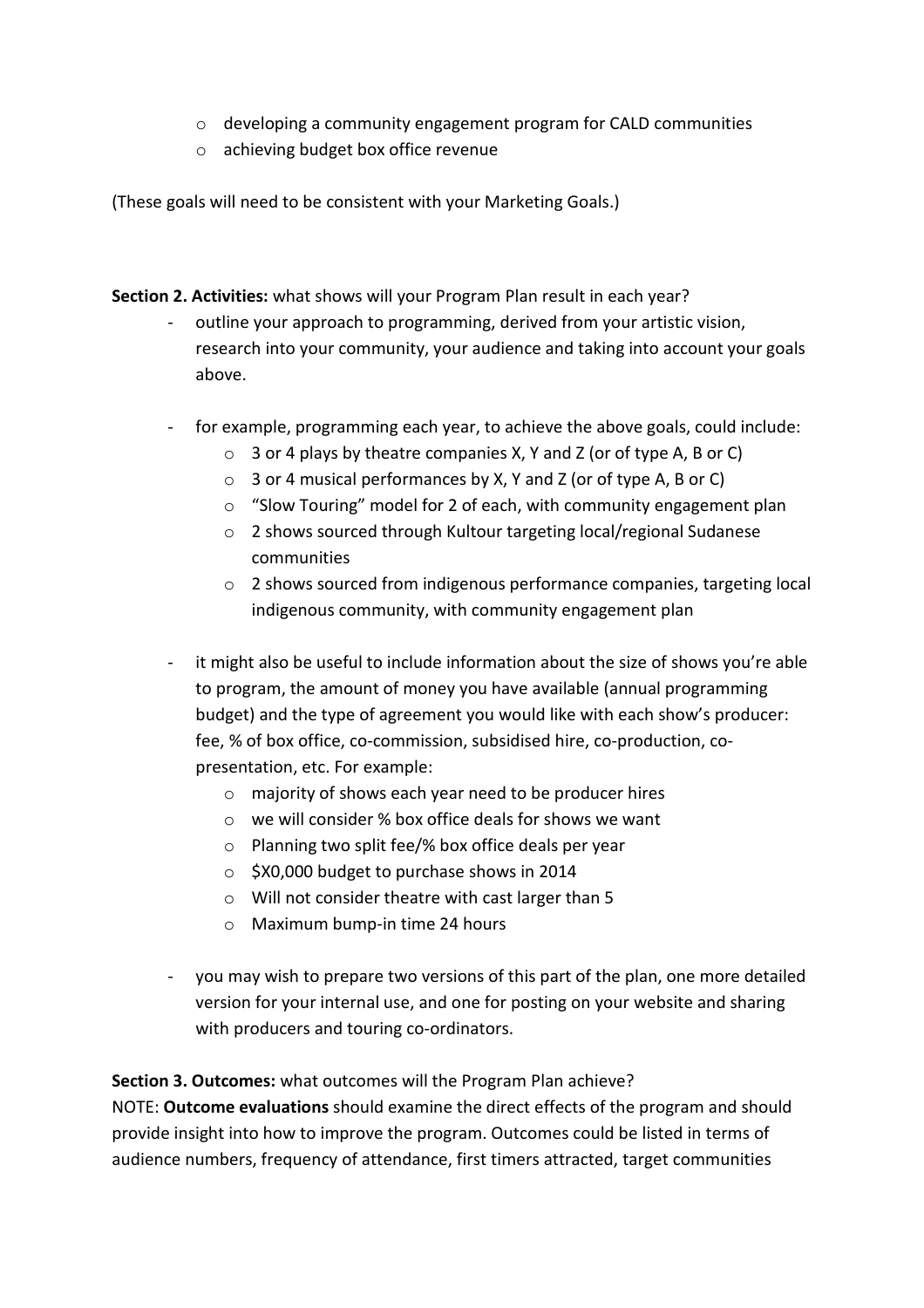- o developing a community engagement program for CALD communities
- o achieving budget box office revenue

(These goals will need to be consistent with your Marketing Goals.)

Section 2. Activities: what shows will your Program Plan result in each year?

- outline your approach to programming, derived from your artistic vision, research into your community, your audience and taking into account your goals above.
- for example, programming each year, to achieve the above goals, could include:
	- $\circ$  3 or 4 plays by theatre companies X, Y and Z (or of type A, B or C)
	- $\circ$  3 or 4 musical performances by X, Y and Z (or of type A, B or C)
	- o "Slow Touring" model for 2 of each, with community engagement plan
	- o 2 shows sourced through Kultour targeting local/regional Sudanese communities
	- o 2 shows sourced from indigenous performance companies, targeting local indigenous community, with community engagement plan
- it might also be useful to include information about the size of shows you're able to program, the amount of money you have available (annual programming budget) and the type of agreement you would like with each show's producer: fee, % of box office, co-commission, subsidised hire, co-production, copresentation, etc. For example:
	- o majority of shows each year need to be producer hires
	- o we will consider % box office deals for shows we want
	- o Planning two split fee/% box office deals per year
	- o \$X0,000 budget to purchase shows in 2014
	- o Will not consider theatre with cast larger than 5
	- o Maximum bump-in time 24 hours
- you may wish to prepare two versions of this part of the plan, one more detailed version for your internal use, and one for posting on your website and sharing with producers and touring co-ordinators.

Section 3. Outcomes: what outcomes will the Program Plan achieve?

NOTE: Outcome evaluations should examine the direct effects of the program and should provide insight into how to improve the program. Outcomes could be listed in terms of audience numbers, frequency of attendance, first timers attracted, target communities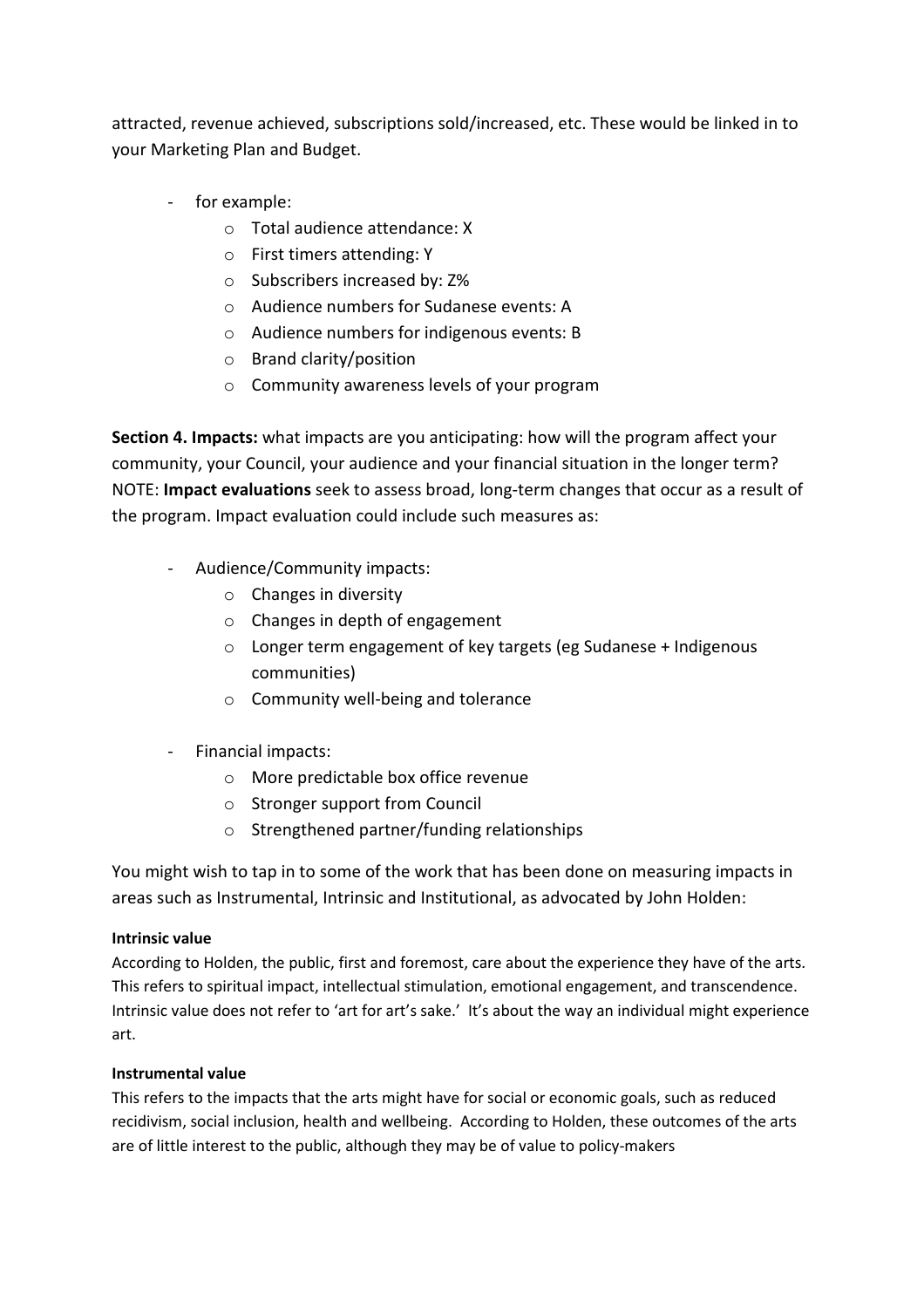attracted, revenue achieved, subscriptions sold/increased, etc. These would be linked in to your Marketing Plan and Budget.

- for example:
	- o Total audience attendance: X
	- o First timers attending: Y
	- o Subscribers increased by: Z%
	- o Audience numbers for Sudanese events: A
	- o Audience numbers for indigenous events: B
	- o Brand clarity/position
	- o Community awareness levels of your program

Section 4. Impacts: what impacts are you anticipating: how will the program affect your community, your Council, your audience and your financial situation in the longer term? NOTE: Impact evaluations seek to assess broad, long-term changes that occur as a result of the program. Impact evaluation could include such measures as:

- Audience/Community impacts:
	- $\circ$  Changes in diversity
	- o Changes in depth of engagement
	- o Longer term engagement of key targets (eg Sudanese + Indigenous communities)
	- o Community well-being and tolerance
- Financial impacts:
	- o More predictable box office revenue
	- o Stronger support from Council
	- o Strengthened partner/funding relationships

You might wish to tap in to some of the work that has been done on measuring impacts in areas such as Instrumental, Intrinsic and Institutional, as advocated by John Holden:

#### Intrinsic value

According to Holden, the public, first and foremost, care about the experience they have of the arts. This refers to spiritual impact, intellectual stimulation, emotional engagement, and transcendence. Intrinsic value does not refer to 'art for art's sake.' It's about the way an individual might experience art.

#### Instrumental value

This refers to the impacts that the arts might have for social or economic goals, such as reduced recidivism, social inclusion, health and wellbeing. According to Holden, these outcomes of the arts are of little interest to the public, although they may be of value to policy-makers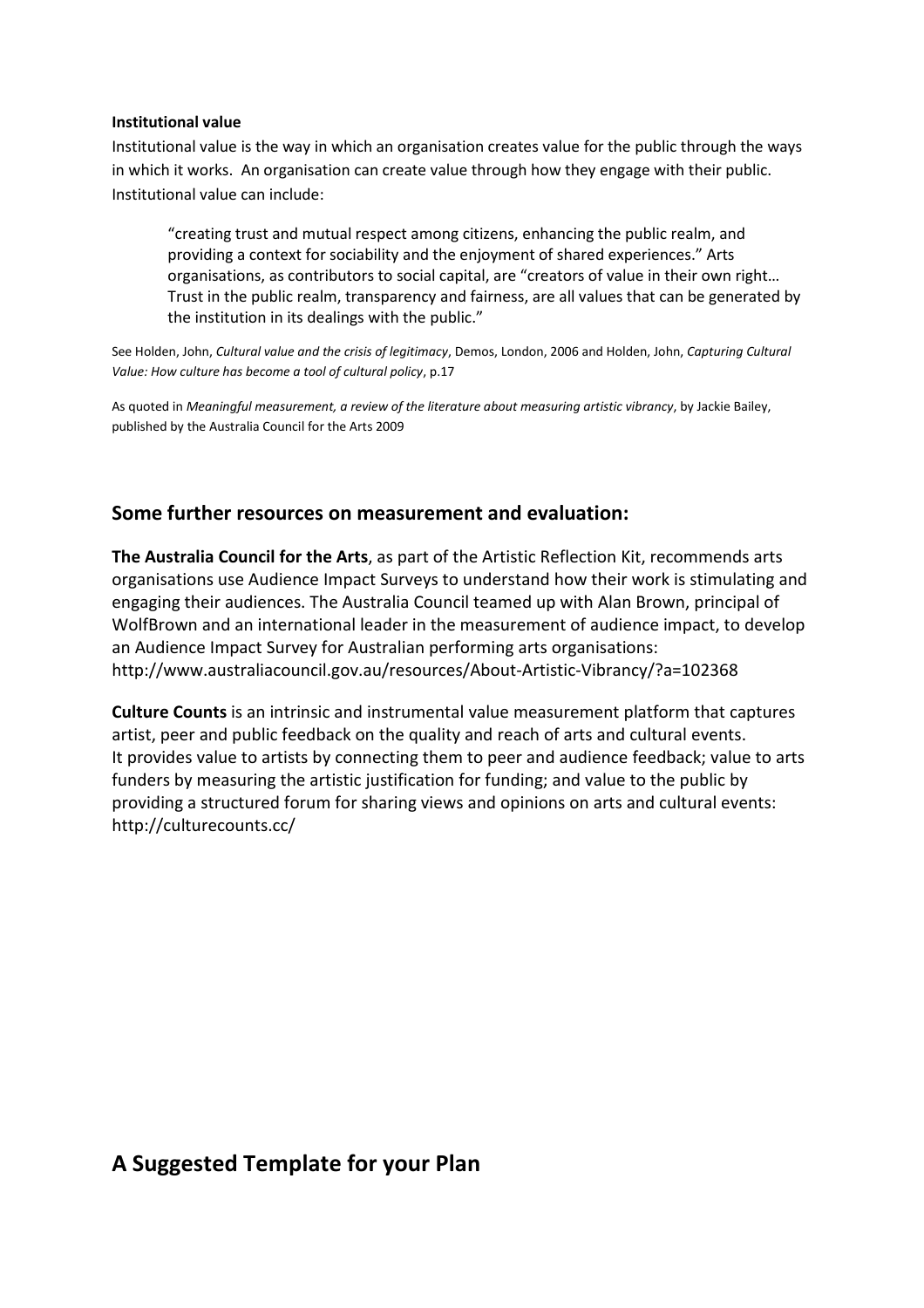#### Institutional value

Institutional value is the way in which an organisation creates value for the public through the ways in which it works. An organisation can create value through how they engage with their public. Institutional value can include:

"creating trust and mutual respect among citizens, enhancing the public realm, and providing a context for sociability and the enjoyment of shared experiences." Arts organisations, as contributors to social capital, are "creators of value in their own right… Trust in the public realm, transparency and fairness, are all values that can be generated by the institution in its dealings with the public."

See Holden, John, Cultural value and the crisis of legitimacy, Demos, London, 2006 and Holden, John, Capturing Cultural Value: How culture has become a tool of cultural policy, p.17

As quoted in Meaningful measurement, a review of the literature about measuring artistic vibrancy, by Jackie Bailey, published by the Australia Council for the Arts 2009

#### Some further resources on measurement and evaluation:

The Australia Council for the Arts, as part of the Artistic Reflection Kit, recommends arts organisations use Audience Impact Surveys to understand how their work is stimulating and engaging their audiences. The Australia Council teamed up with Alan Brown, principal of WolfBrown and an international leader in the measurement of audience impact, to develop an Audience Impact Survey for Australian performing arts organisations: http://www.australiacouncil.gov.au/resources/About-Artistic-Vibrancy/?a=102368

Culture Counts is an intrinsic and instrumental value measurement platform that captures artist, peer and public feedback on the quality and reach of arts and cultural events. It provides value to artists by connecting them to peer and audience feedback; value to arts funders by measuring the artistic justification for funding; and value to the public by providing a structured forum for sharing views and opinions on arts and cultural events: http://culturecounts.cc/

# A Suggested Template for your Plan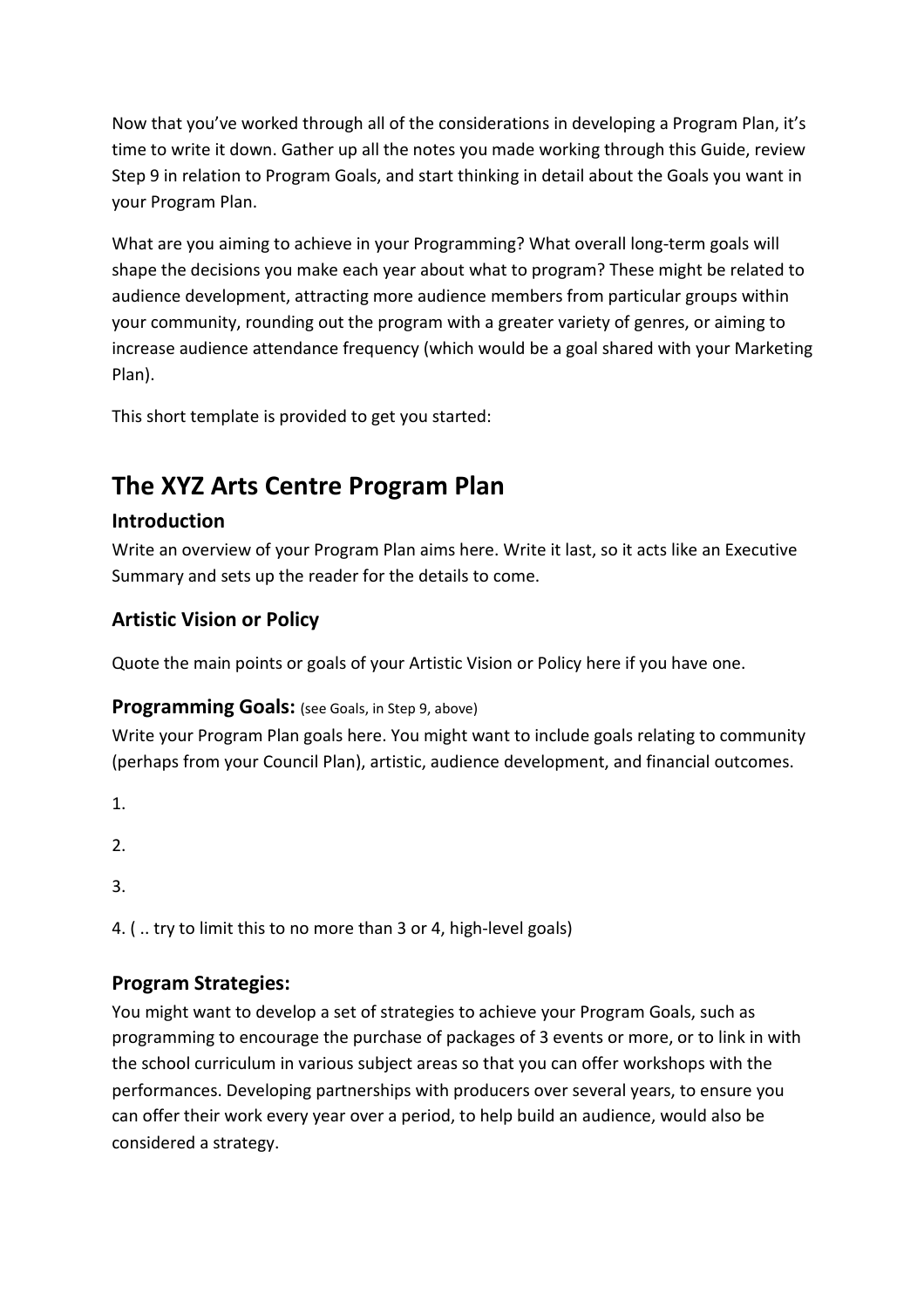Now that you've worked through all of the considerations in developing a Program Plan, it's time to write it down. Gather up all the notes you made working through this Guide, review Step 9 in relation to Program Goals, and start thinking in detail about the Goals you want in your Program Plan.

What are you aiming to achieve in your Programming? What overall long-term goals will shape the decisions you make each year about what to program? These might be related to audience development, attracting more audience members from particular groups within your community, rounding out the program with a greater variety of genres, or aiming to increase audience attendance frequency (which would be a goal shared with your Marketing Plan).

This short template is provided to get you started:

# The XYZ Arts Centre Program Plan

## Introduction

Write an overview of your Program Plan aims here. Write it last, so it acts like an Executive Summary and sets up the reader for the details to come.

# Artistic Vision or Policy

Quote the main points or goals of your Artistic Vision or Policy here if you have one.

## Programming Goals: (see Goals, in Step 9, above)

Write your Program Plan goals here. You might want to include goals relating to community (perhaps from your Council Plan), artistic, audience development, and financial outcomes.

1.

2.

3.

4. ( .. try to limit this to no more than 3 or 4, high-level goals)

# Program Strategies:

You might want to develop a set of strategies to achieve your Program Goals, such as programming to encourage the purchase of packages of 3 events or more, or to link in with the school curriculum in various subject areas so that you can offer workshops with the performances. Developing partnerships with producers over several years, to ensure you can offer their work every year over a period, to help build an audience, would also be considered a strategy.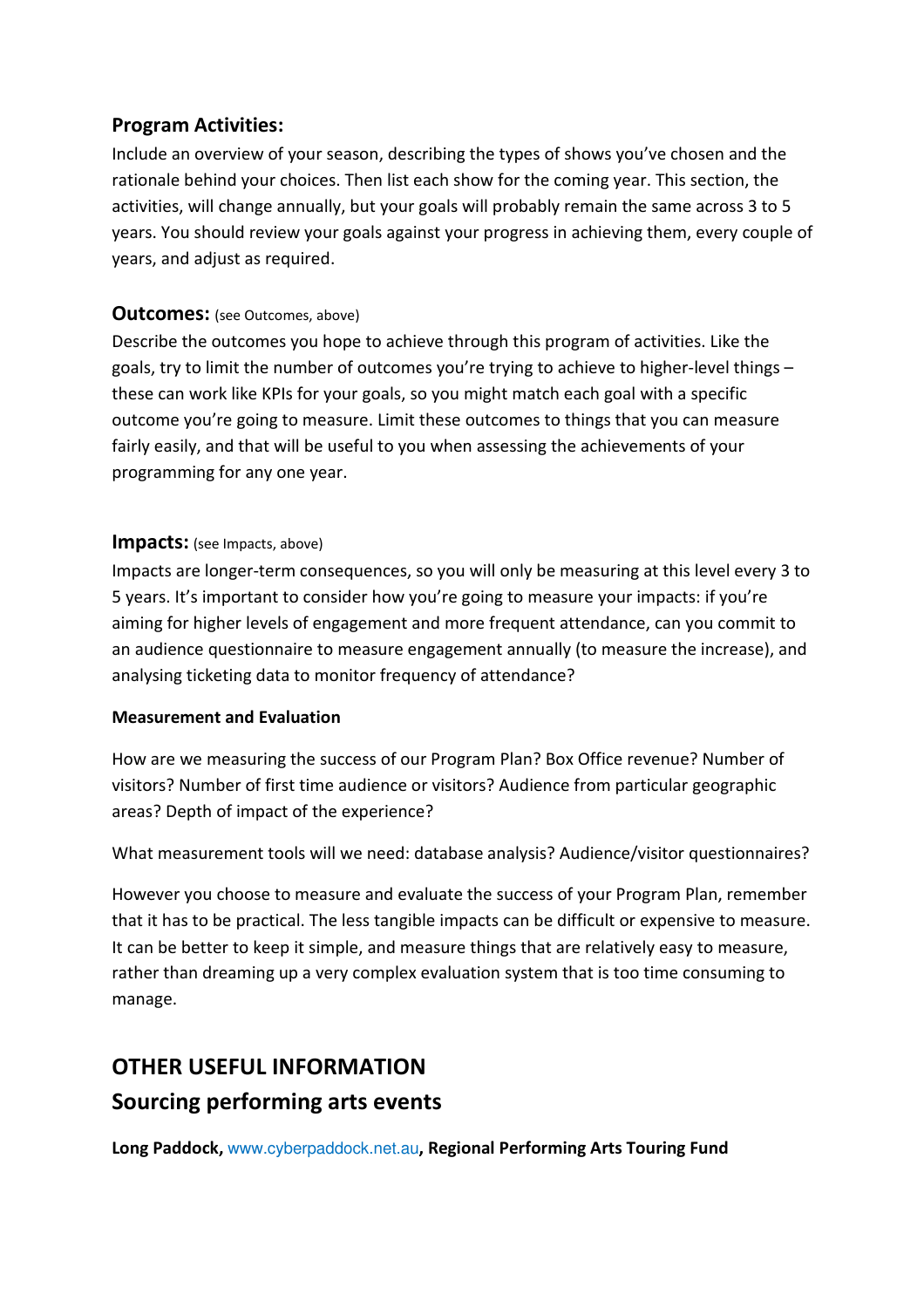## Program Activities:

Include an overview of your season, describing the types of shows you've chosen and the rationale behind your choices. Then list each show for the coming year. This section, the activities, will change annually, but your goals will probably remain the same across 3 to 5 years. You should review your goals against your progress in achieving them, every couple of years, and adjust as required.

## **Outcomes:** (see Outcomes, above)

Describe the outcomes you hope to achieve through this program of activities. Like the goals, try to limit the number of outcomes you're trying to achieve to higher-level things – these can work like KPIs for your goals, so you might match each goal with a specific outcome you're going to measure. Limit these outcomes to things that you can measure fairly easily, and that will be useful to you when assessing the achievements of your programming for any one year.

#### **Impacts:** (see Impacts, above)

Impacts are longer-term consequences, so you will only be measuring at this level every 3 to 5 years. It's important to consider how you're going to measure your impacts: if you're aiming for higher levels of engagement and more frequent attendance, can you commit to an audience questionnaire to measure engagement annually (to measure the increase), and analysing ticketing data to monitor frequency of attendance?

#### Measurement and Evaluation

How are we measuring the success of our Program Plan? Box Office revenue? Number of visitors? Number of first time audience or visitors? Audience from particular geographic areas? Depth of impact of the experience?

What measurement tools will we need: database analysis? Audience/visitor questionnaires?

However you choose to measure and evaluate the success of your Program Plan, remember that it has to be practical. The less tangible impacts can be difficult or expensive to measure. It can be better to keep it simple, and measure things that are relatively easy to measure, rather than dreaming up a very complex evaluation system that is too time consuming to manage.

# OTHER USEFUL INFORMATION Sourcing performing arts events

Long Paddock, www.cyberpaddock.net.au, Regional Performing Arts Touring Fund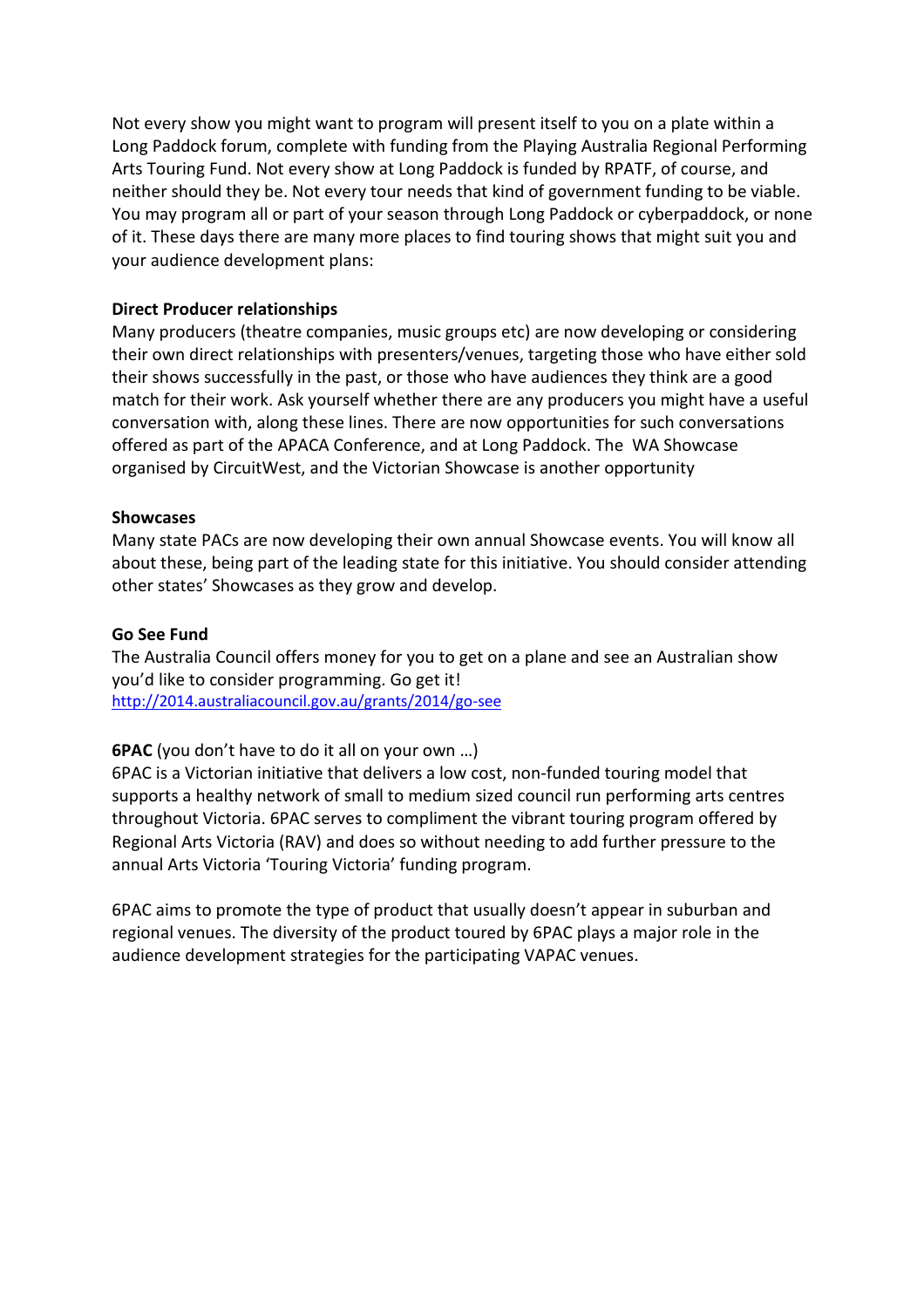Not every show you might want to program will present itself to you on a plate within a Long Paddock forum, complete with funding from the Playing Australia Regional Performing Arts Touring Fund. Not every show at Long Paddock is funded by RPATF, of course, and neither should they be. Not every tour needs that kind of government funding to be viable. You may program all or part of your season through Long Paddock or cyberpaddock, or none of it. These days there are many more places to find touring shows that might suit you and your audience development plans:

#### Direct Producer relationships

Many producers (theatre companies, music groups etc) are now developing or considering their own direct relationships with presenters/venues, targeting those who have either sold their shows successfully in the past, or those who have audiences they think are a good match for their work. Ask yourself whether there are any producers you might have a useful conversation with, along these lines. There are now opportunities for such conversations offered as part of the APACA Conference, and at Long Paddock. The WA Showcase organised by CircuitWest, and the Victorian Showcase is another opportunity

#### **Showcases**

Many state PACs are now developing their own annual Showcase events. You will know all about these, being part of the leading state for this initiative. You should consider attending other states' Showcases as they grow and develop.

#### Go See Fund

The Australia Council offers money for you to get on a plane and see an Australian show you'd like to consider programming. Go get it! http://2014.australiacouncil.gov.au/grants/2014/go-see

#### 6PAC (you don't have to do it all on your own …)

6PAC is a Victorian initiative that delivers a low cost, non-funded touring model that supports a healthy network of small to medium sized council run performing arts centres throughout Victoria. 6PAC serves to compliment the vibrant touring program offered by Regional Arts Victoria (RAV) and does so without needing to add further pressure to the annual Arts Victoria 'Touring Victoria' funding program.

6PAC aims to promote the type of product that usually doesn't appear in suburban and regional venues. The diversity of the product toured by 6PAC plays a major role in the audience development strategies for the participating VAPAC venues.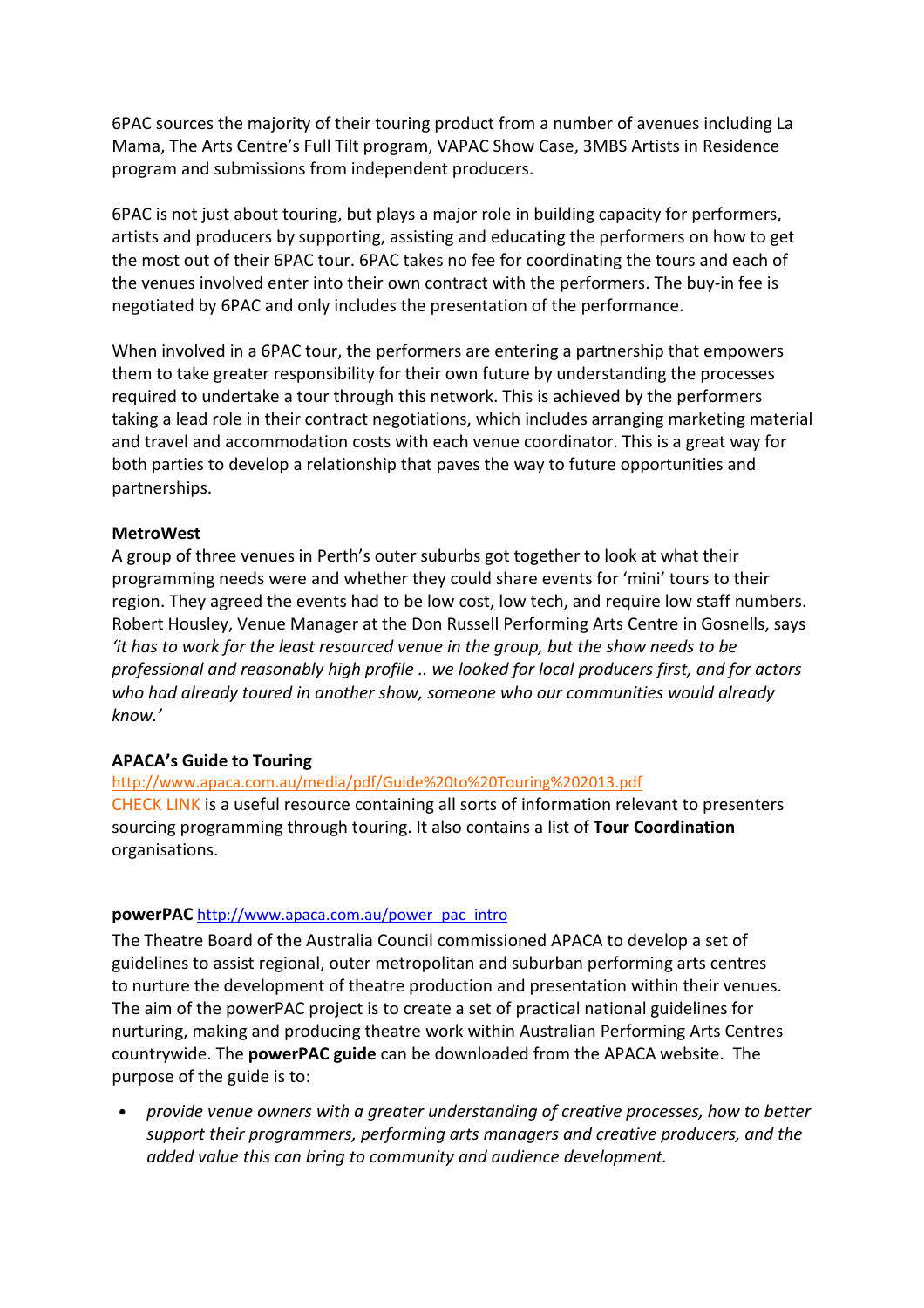6PAC sources the majority of their touring product from a number of avenues including La Mama, The Arts Centre's Full Tilt program, VAPAC Show Case, 3MBS Artists in Residence program and submissions from independent producers.

6PAC is not just about touring, but plays a major role in building capacity for performers, artists and producers by supporting, assisting and educating the performers on how to get the most out of their 6PAC tour. 6PAC takes no fee for coordinating the tours and each of the venues involved enter into their own contract with the performers. The buy-in fee is negotiated by 6PAC and only includes the presentation of the performance.

When involved in a 6PAC tour, the performers are entering a partnership that empowers them to take greater responsibility for their own future by understanding the processes required to undertake a tour through this network. This is achieved by the performers taking a lead role in their contract negotiations, which includes arranging marketing material and travel and accommodation costs with each venue coordinator. This is a great way for both parties to develop a relationship that paves the way to future opportunities and partnerships.

#### MetroWest

A group of three venues in Perth's outer suburbs got together to look at what their programming needs were and whether they could share events for 'mini' tours to their region. They agreed the events had to be low cost, low tech, and require low staff numbers. Robert Housley, Venue Manager at the Don Russell Performing Arts Centre in Gosnells, says 'it has to work for the least resourced venue in the group, but the show needs to be professional and reasonably high profile .. we looked for local producers first, and for actors who had already toured in another show, someone who our communities would already know.'

#### APACA's Guide to Touring

http://www.apaca.com.au/media/pdf/Guide%20to%20Touring%202013.pdf CHECK LINK is a useful resource containing all sorts of information relevant to presenters sourcing programming through touring. It also contains a list of Tour Coordination organisations.

#### powerPAC http://www.apaca.com.au/power\_pac\_intro

The Theatre Board of the Australia Council commissioned APACA to develop a set of guidelines to assist regional, outer metropolitan and suburban performing arts centres to nurture the development of theatre production and presentation within their venues. The aim of the powerPAC project is to create a set of practical national guidelines for nurturing, making and producing theatre work within Australian Performing Arts Centres countrywide. The powerPAC guide can be downloaded from the APACA website. The purpose of the guide is to:

• provide venue owners with a greater understanding of creative processes, how to better support their programmers, performing arts managers and creative producers, and the added value this can bring to community and audience development.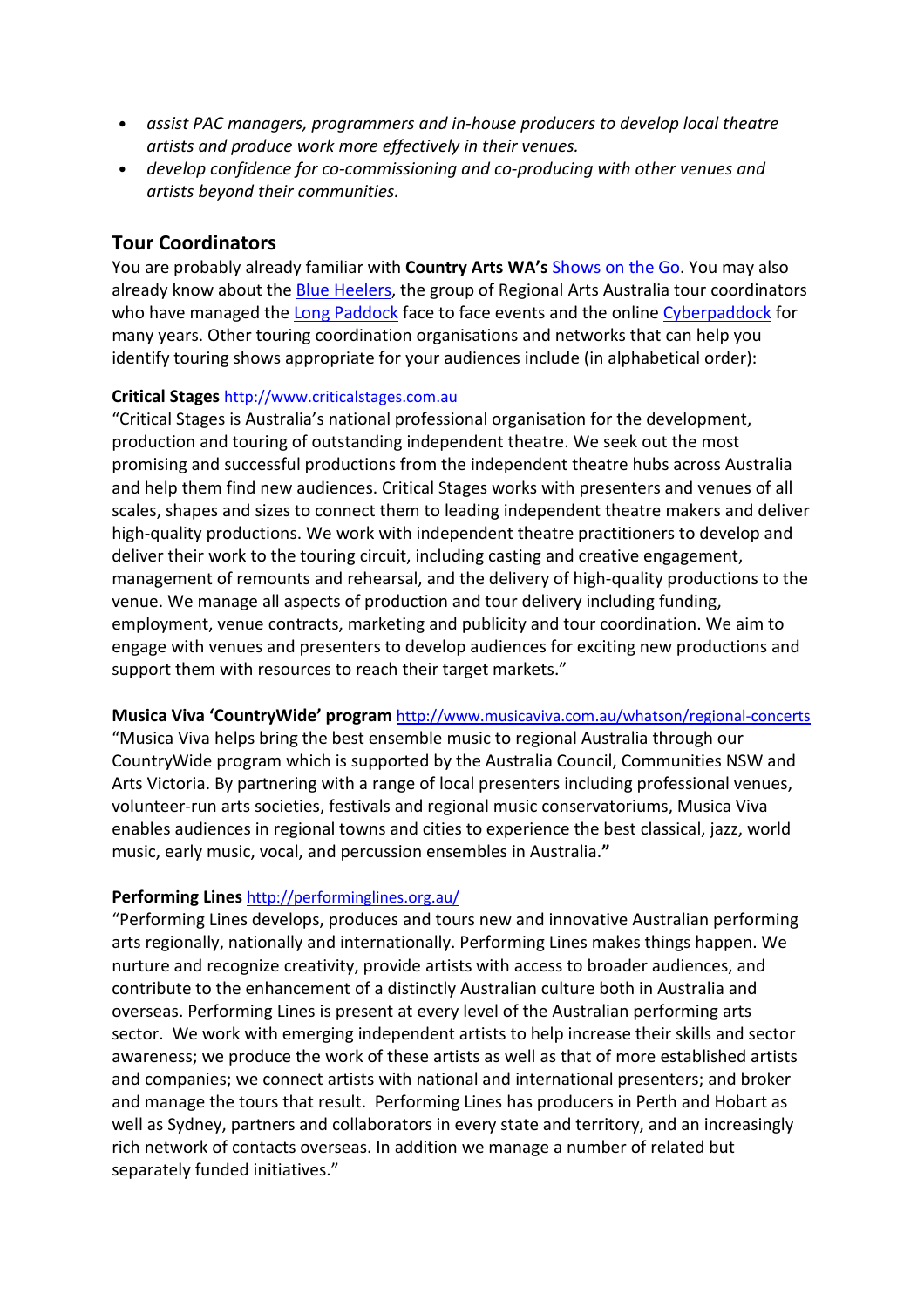- assist PAC managers, programmers and in-house producers to develop local theatre artists and produce work more effectively in their venues.
- develop confidence for co-commissioning and co-producing with other venues and artists beyond their communities.

## Tour Coordinators

You are probably already familiar with **Country Arts WA's Shows on the Go. You may also** already know about the Blue Heelers, the group of Regional Arts Australia tour coordinators who have managed the Long Paddock face to face events and the online Cyberpaddock for many years. Other touring coordination organisations and networks that can help you identify touring shows appropriate for your audiences include (in alphabetical order):

#### Critical Stages http://www.criticalstages.com.au

"Critical Stages is Australia's national professional organisation for the development, production and touring of outstanding independent theatre. We seek out the most promising and successful productions from the independent theatre hubs across Australia and help them find new audiences. Critical Stages works with presenters and venues of all scales, shapes and sizes to connect them to leading independent theatre makers and deliver high-quality productions. We work with independent theatre practitioners to develop and deliver their work to the touring circuit, including casting and creative engagement, management of remounts and rehearsal, and the delivery of high-quality productions to the venue. We manage all aspects of production and tour delivery including funding, employment, venue contracts, marketing and publicity and tour coordination. We aim to engage with venues and presenters to develop audiences for exciting new productions and support them with resources to reach their target markets."

#### Musica Viva 'CountryWide' program http://www.musicaviva.com.au/whatson/regional-concerts

"Musica Viva helps bring the best ensemble music to regional Australia through our CountryWide program which is supported by the Australia Council, Communities NSW and Arts Victoria. By partnering with a range of local presenters including professional venues, volunteer-run arts societies, festivals and regional music conservatoriums, Musica Viva enables audiences in regional towns and cities to experience the best classical, jazz, world music, early music, vocal, and percussion ensembles in Australia."

#### Performing Lines http://performinglines.org.au/

"Performing Lines develops, produces and tours new and innovative Australian performing arts regionally, nationally and internationally. Performing Lines makes things happen. We nurture and recognize creativity, provide artists with access to broader audiences, and contribute to the enhancement of a distinctly Australian culture both in Australia and overseas. Performing Lines is present at every level of the Australian performing arts sector. We work with emerging independent artists to help increase their skills and sector awareness; we produce the work of these artists as well as that of more established artists and companies; we connect artists with national and international presenters; and broker and manage the tours that result. Performing Lines has producers in Perth and Hobart as well as Sydney, partners and collaborators in every state and territory, and an increasingly rich network of contacts overseas. In addition we manage a number of related but separately funded initiatives."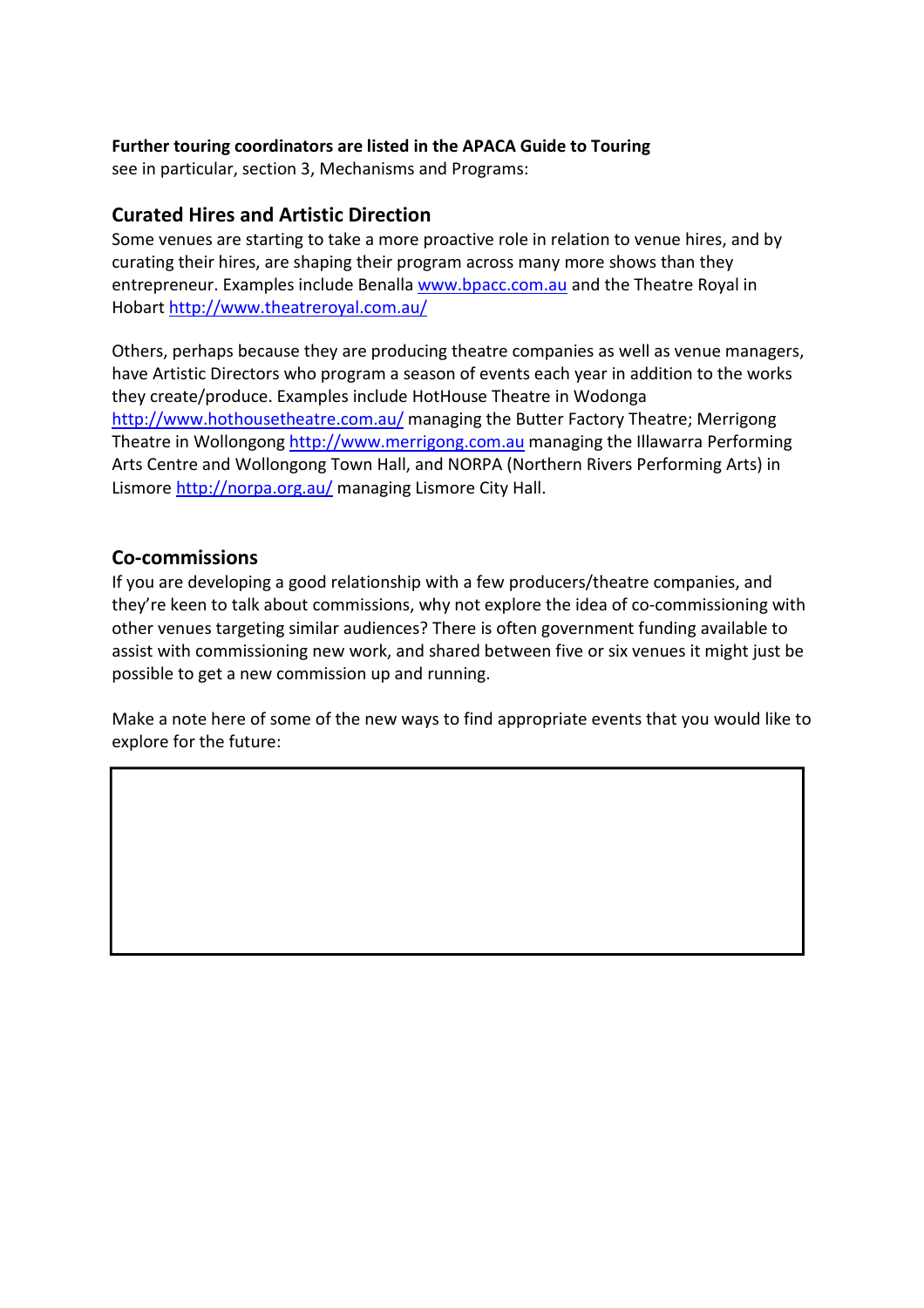#### Further touring coordinators are listed in the APACA Guide to Touring

see in particular, section 3, Mechanisms and Programs:

#### Curated Hires and Artistic Direction

Some venues are starting to take a more proactive role in relation to venue hires, and by curating their hires, are shaping their program across many more shows than they entrepreneur. Examples include Benalla www.bpacc.com.au and the Theatre Royal in Hobart http://www.theatreroyal.com.au/

Others, perhaps because they are producing theatre companies as well as venue managers, have Artistic Directors who program a season of events each year in addition to the works they create/produce. Examples include HotHouse Theatre in Wodonga http://www.hothousetheatre.com.au/ managing the Butter Factory Theatre; Merrigong Theatre in Wollongong http://www.merrigong.com.au managing the Illawarra Performing Arts Centre and Wollongong Town Hall, and NORPA (Northern Rivers Performing Arts) in Lismore http://norpa.org.au/ managing Lismore City Hall.

## Co-commissions

 $\overline{\phantom{a}}$ 

If you are developing a good relationship with a few producers/theatre companies, and they're keen to talk about commissions, why not explore the idea of co-commissioning with other venues targeting similar audiences? There is often government funding available to assist with commissioning new work, and shared between five or six venues it might just be possible to get a new commission up and running.

Make a note here of some of the new ways to find appropriate events that you would like to explore for the future: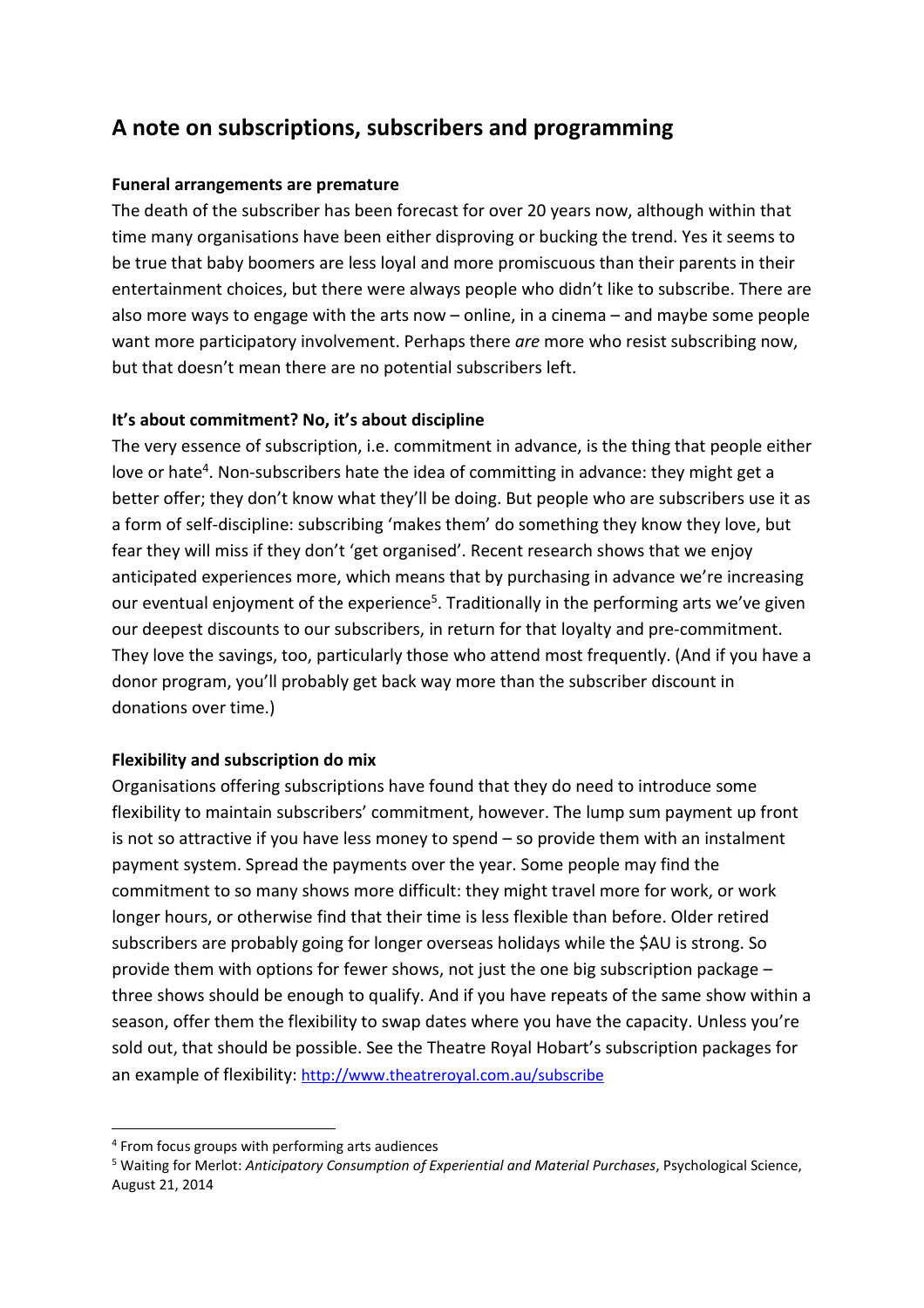# A note on subscriptions, subscribers and programming

#### Funeral arrangements are premature

The death of the subscriber has been forecast for over 20 years now, although within that time many organisations have been either disproving or bucking the trend. Yes it seems to be true that baby boomers are less loyal and more promiscuous than their parents in their entertainment choices, but there were always people who didn't like to subscribe. There are also more ways to engage with the arts now – online, in a cinema – and maybe some people want more participatory involvement. Perhaps there are more who resist subscribing now, but that doesn't mean there are no potential subscribers left.

#### It's about commitment? No, it's about discipline

The very essence of subscription, i.e. commitment in advance, is the thing that people either love or hate<sup>4</sup>. Non-subscribers hate the idea of committing in advance: they might get a better offer; they don't know what they'll be doing. But people who are subscribers use it as a form of self-discipline: subscribing 'makes them' do something they know they love, but fear they will miss if they don't 'get organised'. Recent research shows that we enjoy anticipated experiences more, which means that by purchasing in advance we're increasing our eventual enjoyment of the experience<sup>5</sup>. Traditionally in the performing arts we've given our deepest discounts to our subscribers, in return for that loyalty and pre-commitment. They love the savings, too, particularly those who attend most frequently. (And if you have a donor program, you'll probably get back way more than the subscriber discount in donations over time.)

#### Flexibility and subscription do mix

Organisations offering subscriptions have found that they do need to introduce some flexibility to maintain subscribers' commitment, however. The lump sum payment up front is not so attractive if you have less money to spend – so provide them with an instalment payment system. Spread the payments over the year. Some people may find the commitment to so many shows more difficult: they might travel more for work, or work longer hours, or otherwise find that their time is less flexible than before. Older retired subscribers are probably going for longer overseas holidays while the \$AU is strong. So provide them with options for fewer shows, not just the one big subscription package – three shows should be enough to qualify. And if you have repeats of the same show within a season, offer them the flexibility to swap dates where you have the capacity. Unless you're sold out, that should be possible. See the Theatre Royal Hobart's subscription packages for an example of flexibility: http://www.theatreroyal.com.au/subscribe

l

<sup>4</sup> From focus groups with performing arts audiences

<sup>&</sup>lt;sup>5</sup> Waiting for Merlot: Anticipatory Consumption of Experiential and Material Purchases, Psychological Science, August 21, 2014